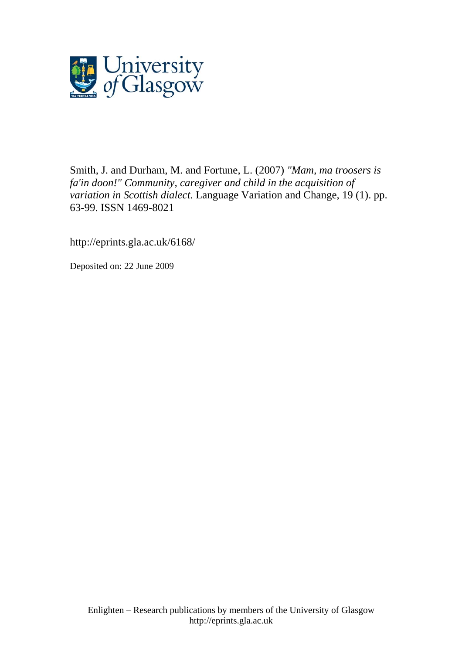

Smith, J. and Durham, M. and Fortune, L. (2007) *"Mam, ma troosers is fa'in doon!" Community, caregiver and child in the acquisition of variation in Scottish dialect.* Language Variation and Change, 19 (1). pp. 63-99. ISSN 1469-8021

http://eprints.gla.ac.uk/6168/

Deposited on: 22 June 2009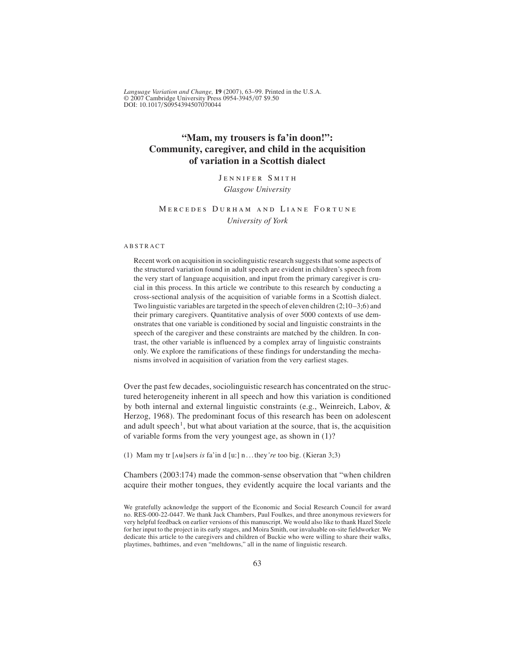# **"Mam, my trousers is fa'in doon!": Community, caregiver, and child in the acquisition of variation in a Scottish dialect**

Jennifer Smith *Glasgow University*

## Mercedes Durham and Liane Fortune *University of York*

## ABSTRACT

Recent work on acquisition in sociolinguistic research suggests that some aspects of the structured variation found in adult speech are evident in children's speech from the very start of language acquisition, and input from the primary caregiver is crucial in this process. In this article we contribute to this research by conducting a cross-sectional analysis of the acquisition of variable forms in a Scottish dialect. Two linguistic variables are targeted in the speech of eleven children (2;10–3;6) and their primary caregivers. Quantitative analysis of over 5000 contexts of use demonstrates that one variable is conditioned by social and linguistic constraints in the speech of the caregiver and these constraints are matched by the children. In contrast, the other variable is influenced by a complex array of linguistic constraints only. We explore the ramifications of these findings for understanding the mechanisms involved in acquisition of variation from the very earliest stages.

Over the past few decades, sociolinguistic research has concentrated on the structured heterogeneity inherent in all speech and how this variation is conditioned by both internal and external linguistic constraints (e.g., Weinreich, Labov, & Herzog, 1968). The predominant focus of this research has been on adolescent and adult speech<sup>1</sup>, but what about variation at the source, that is, the acquisition of variable forms from the very youngest age, as shown in (1)?

(1) Mam my tr  $[\Delta \mathbf{H}]$  sers *is* fa'in d [u:] n...they're too big. (Kieran 3;3)

Chambers (2003:174) made the common-sense observation that "when children acquire their mother tongues, they evidently acquire the local variants and the

We gratefully acknowledge the support of the Economic and Social Research Council for award no. RES-000-22-0447. We thank Jack Chambers, Paul Foulkes, and three anonymous reviewers for very helpful feedback on earlier versions of this manuscript. We would also like to thank Hazel Steele for her input to the project in its early stages, and Moira Smith, our invaluable on-site fieldworker. We dedicate this article to the caregivers and children of Buckie who were willing to share their walks, playtimes, bathtimes, and even "meltdowns," all in the name of linguistic research.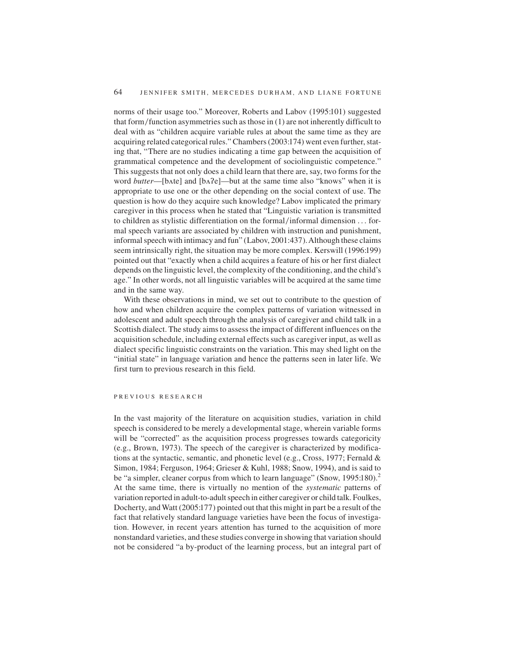norms of their usage too." Moreover, Roberts and Labov (1995:101) suggested that form/function asymmetries such as those in  $(1)$  are not inherently difficult to deal with as "children acquire variable rules at about the same time as they are acquiring related categorical rules." Chambers (2003:174) went even further, stating that, "There are no studies indicating a time gap between the acquisition of grammatical competence and the development of sociolinguistic competence." This suggests that not only does a child learn that there are, say, two forms for the word *butter*—[bʌte] and [bʌʔe]—but at the same time also "knows" when it is appropriate to use one or the other depending on the social context of use. The question is how do they acquire such knowledge? Labov implicated the primary caregiver in this process when he stated that "Linguistic variation is transmitted to children as stylistic differentiation on the formal/informal dimension . . . formal speech variants are associated by children with instruction and punishment, informal speech with intimacy and fun" (Labov, 2001:437).Although these claims seem intrinsically right, the situation may be more complex. Kerswill (1996:199) pointed out that "exactly when a child acquires a feature of his or her first dialect depends on the linguistic level, the complexity of the conditioning, and the child's age." In other words, not all linguistic variables will be acquired at the same time and in the same way.

With these observations in mind, we set out to contribute to the question of how and when children acquire the complex patterns of variation witnessed in adolescent and adult speech through the analysis of caregiver and child talk in a Scottish dialect. The study aims to assess the impact of different influences on the acquisition schedule, including external effects such as caregiver input, as well as dialect specific linguistic constraints on the variation. This may shed light on the "initial state" in language variation and hence the patterns seen in later life. We first turn to previous research in this field.

#### PREVIOUS RESEARCH

In the vast majority of the literature on acquisition studies, variation in child speech is considered to be merely a developmental stage, wherein variable forms will be "corrected" as the acquisition process progresses towards categoricity (e.g., Brown, 1973). The speech of the caregiver is characterized by modifications at the syntactic, semantic, and phonetic level (e.g., Cross, 1977; Fernald & Simon, 1984; Ferguson, 1964; Grieser & Kuhl, 1988; Snow, 1994), and is said to be "a simpler, cleaner corpus from which to learn language" (Snow, 1995:180).<sup>2</sup> At the same time, there is virtually no mention of the *systematic* patterns of variation reported in adult-to-adult speech in either caregiver or child talk. Foulkes, Docherty, and Watt (2005:177) pointed out that this might in part be a result of the fact that relatively standard language varieties have been the focus of investigation. However, in recent years attention has turned to the acquisition of more nonstandard varieties, and these studies converge in showing that variation should not be considered "a by-product of the learning process, but an integral part of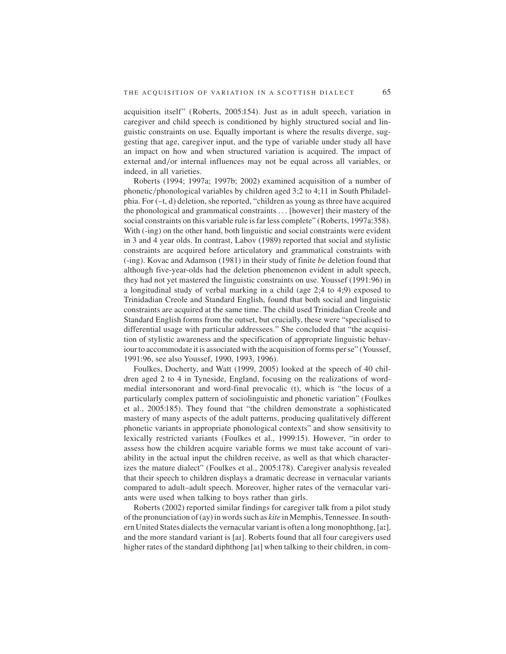acquisition itself" (Roberts, 2005:154). Just as in adult speech, variation in caregiver and child speech is conditioned by highly structured social and linguistic constraints on use. Equally important is where the results diverge, suggesting that age, caregiver input, and the type of variable under study all have an impact on how and when structured variation is acquired. The impact of external and/or internal influences may not be equal across all variables, or indeed, in all varieties.

Roberts (1994; 1997a; 1997b; 2002) examined acquisition of a number of phonetic/phonological variables by children aged  $3;2$  to  $4;11$  in South Philadelphia. For (–t, d) deletion, she reported, "children as young as three have acquired the phonological and grammatical constraints . . . [however] their mastery of the social constraints on this variable rule is far less complete" (Roberts, 1997a:358). With (-ing) on the other hand, both linguistic and social constraints were evident in 3 and 4 year olds. In contrast, Labov (1989) reported that social and stylistic constraints are acquired before articulatory and grammatical constraints with (-ing). Kovac and Adamson (1981) in their study of finite *be* deletion found that although five-year-olds had the deletion phenomenon evident in adult speech, they had not yet mastered the linguistic constraints on use. Youssef (1991:96) in a longitudinal study of verbal marking in a child (age 2;4 to 4;9) exposed to Trinidadian Creole and Standard English, found that both social and linguistic constraints are acquired at the same time. The child used Trinidadian Creole and Standard English forms from the outset, but crucially, these were "specialised to differential usage with particular addressees." She concluded that "the acquisition of stylistic awareness and the specification of appropriate linguistic behaviour to accommodate it is associated with the acquisition of forms per se" (Youssef, 1991:96, see also Youssef, 1990, 1993, 1996).

Foulkes, Docherty, and Watt (1999, 2005) looked at the speech of 40 children aged 2 to 4 in Tyneside, England, focusing on the realizations of wordmedial intersonorant and word-final prevocalic (t), which is "the locus of a particularly complex pattern of sociolinguistic and phonetic variation" (Foulkes et al., 2005:185). They found that "the children demonstrate a sophisticated mastery of many aspects of the adult patterns, producing qualitatively different phonetic variants in appropriate phonological contexts" and show sensitivity to lexically restricted variants (Foulkes et al., 1999:15). However, "in order to assess how the children acquire variable forms we must take account of variability in the actual input the children receive, as well as that which characterizes the mature dialect" (Foulkes et al., 2005:178). Caregiver analysis revealed that their speech to children displays a dramatic decrease in vernacular variants compared to adult–adult speech. Moreover, higher rates of the vernacular variants were used when talking to boys rather than girls.

Roberts (2002) reported similar findings for caregiver talk from a pilot study of the pronunciation of (ay) in words such as *kite* in Memphis, Tennessee. In southern United States dialects the vernacular variant is often a long monophthong, [a:], and the more standard variant is [aI]. Roberts found that all four caregivers used higher rates of the standard diphthong [aI] when talking to their children, in com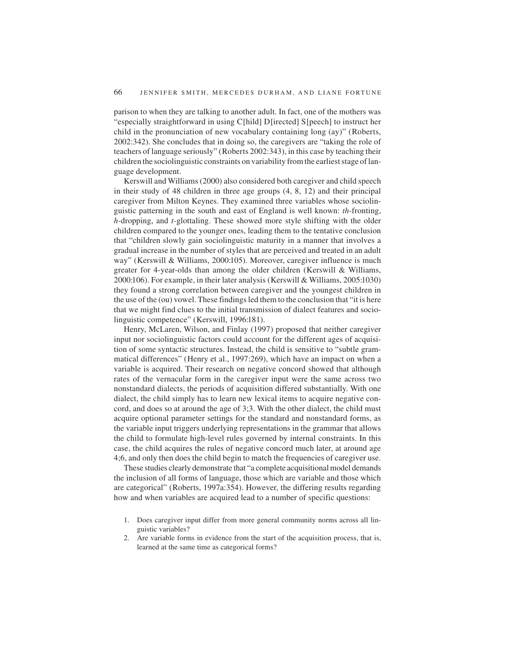parison to when they are talking to another adult. In fact, one of the mothers was "especially straightforward in using C[hild] D[irected] S[peech] to instruct her child in the pronunciation of new vocabulary containing long (ay)" (Roberts, 2002:342). She concludes that in doing so, the caregivers are "taking the role of teachers of language seriously" (Roberts 2002:343), in this case by teaching their children the sociolinguistic constraints on variability from the earliest stage of language development.

Kerswill and Williams (2000) also considered both caregiver and child speech in their study of 48 children in three age groups (4, 8, 12) and their principal caregiver from Milton Keynes. They examined three variables whose sociolinguistic patterning in the south and east of England is well known: *th-*fronting, *h-*dropping, and *t-*glottaling. These showed more style shifting with the older children compared to the younger ones, leading them to the tentative conclusion that "children slowly gain sociolinguistic maturity in a manner that involves a gradual increase in the number of styles that are perceived and treated in an adult way" (Kerswill & Williams, 2000:105). Moreover, caregiver influence is much greater for 4-year-olds than among the older children (Kerswill & Williams, 2000:106). For example, in their later analysis (Kerswill & Williams, 2005:1030) they found a strong correlation between caregiver and the youngest children in the use of the (ou) vowel. These findings led them to the conclusion that "it is here that we might find clues to the initial transmission of dialect features and sociolinguistic competence" (Kerswill, 1996:181).

Henry, McLaren, Wilson, and Finlay (1997) proposed that neither caregiver input nor sociolinguistic factors could account for the different ages of acquisition of some syntactic structures. Instead, the child is sensitive to "subtle grammatical differences" (Henry et al., 1997:269), which have an impact on when a variable is acquired. Their research on negative concord showed that although rates of the vernacular form in the caregiver input were the same across two nonstandard dialects, the periods of acquisition differed substantially. With one dialect, the child simply has to learn new lexical items to acquire negative concord, and does so at around the age of 3;3. With the other dialect, the child must acquire optional parameter settings for the standard and nonstandard forms, as the variable input triggers underlying representations in the grammar that allows the child to formulate high-level rules governed by internal constraints. In this case, the child acquires the rules of negative concord much later, at around age 4;6, and only then does the child begin to match the frequencies of caregiver use.

These studies clearly demonstrate that "a complete acquisitional model demands the inclusion of all forms of language, those which are variable and those which are categorical" (Roberts, 1997a:354). However, the differing results regarding how and when variables are acquired lead to a number of specific questions:

- 1. Does caregiver input differ from more general community norms across all linguistic variables?
- 2. Are variable forms in evidence from the start of the acquisition process, that is, learned at the same time as categorical forms?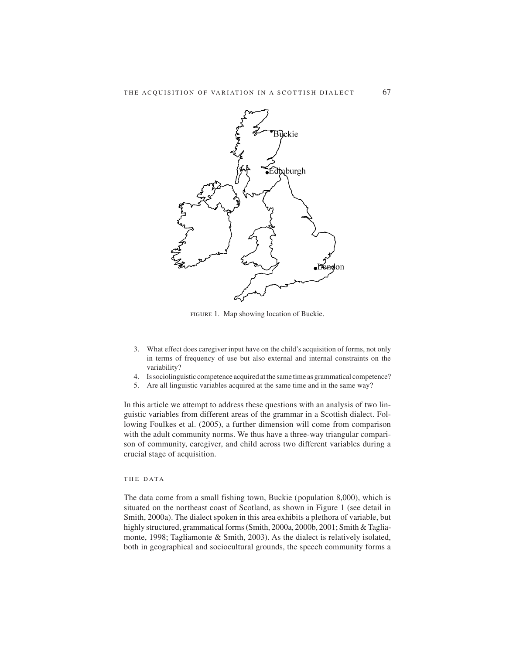

figure 1. Map showing location of Buckie.

- 3. What effect does caregiver input have on the child's acquisition of forms, not only in terms of frequency of use but also external and internal constraints on the variability?
- 4. Is sociolinguistic competence acquired at the same time as grammatical competence?
- 5. Are all linguistic variables acquired at the same time and in the same way?

In this article we attempt to address these questions with an analysis of two linguistic variables from different areas of the grammar in a Scottish dialect. Following Foulkes et al. (2005), a further dimension will come from comparison with the adult community norms. We thus have a three-way triangular comparison of community, caregiver, and child across two different variables during a crucial stage of acquisition.

THE DATA

The data come from a small fishing town, Buckie (population 8,000), which is situated on the northeast coast of Scotland, as shown in Figure 1 (see detail in Smith, 2000a). The dialect spoken in this area exhibits a plethora of variable, but highly structured, grammatical forms (Smith, 2000a, 2000b, 2001; Smith & Tagliamonte, 1998; Tagliamonte & Smith, 2003). As the dialect is relatively isolated, both in geographical and sociocultural grounds, the speech community forms a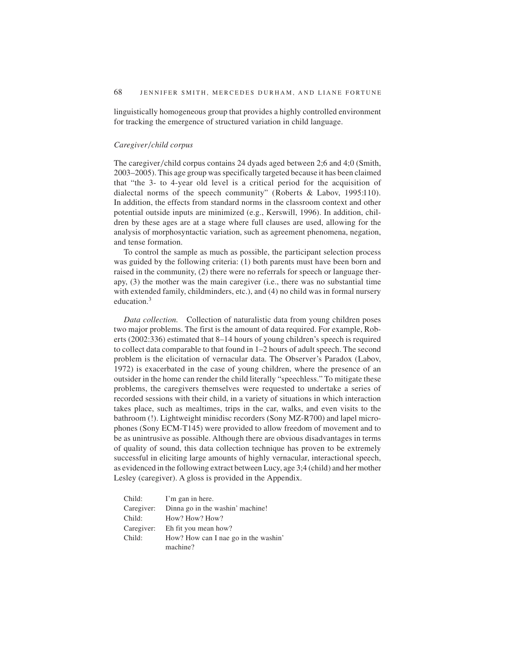linguistically homogeneous group that provides a highly controlled environment for tracking the emergence of structured variation in child language.

#### $Caregiver/child corpus$

The caregiver/child corpus contains 24 dyads aged between 2;6 and 4;0 (Smith, 2003–2005). This age group was specifically targeted because it has been claimed that "the 3- to 4-year old level is a critical period for the acquisition of dialectal norms of the speech community" (Roberts & Labov, 1995:110). In addition, the effects from standard norms in the classroom context and other potential outside inputs are minimized (e.g., Kerswill, 1996). In addition, children by these ages are at a stage where full clauses are used, allowing for the analysis of morphosyntactic variation, such as agreement phenomena, negation, and tense formation.

To control the sample as much as possible, the participant selection process was guided by the following criteria: (1) both parents must have been born and raised in the community, (2) there were no referrals for speech or language therapy, (3) the mother was the main caregiver (i.e., there was no substantial time with extended family, childminders, etc.), and (4) no child was in formal nursery education.3

*Data collection.* Collection of naturalistic data from young children poses two major problems. The first is the amount of data required. For example, Roberts (2002:336) estimated that 8–14 hours of young children's speech is required to collect data comparable to that found in 1–2 hours of adult speech. The second problem is the elicitation of vernacular data. The Observer's Paradox (Labov, 1972) is exacerbated in the case of young children, where the presence of an outsider in the home can render the child literally "speechless." To mitigate these problems, the caregivers themselves were requested to undertake a series of recorded sessions with their child, in a variety of situations in which interaction takes place, such as mealtimes, trips in the car, walks, and even visits to the bathroom (!). Lightweight minidisc recorders (Sony MZ-R700) and lapel microphones (Sony ECM-T145) were provided to allow freedom of movement and to be as unintrusive as possible. Although there are obvious disadvantages in terms of quality of sound, this data collection technique has proven to be extremely successful in eliciting large amounts of highly vernacular, interactional speech, as evidenced in the following extract between Lucy, age 3;4 (child) and her mother Lesley (caregiver). A gloss is provided in the Appendix.

| Child:     | I'm gan in here.                            |
|------------|---------------------------------------------|
|            | Caregiver: Dinna go in the washin' machine! |
| Child:     | How? How? How?                              |
| Caregiver: | Eh fit you mean how?                        |
| Child:     | How? How can I nae go in the washin'        |
|            | machine?                                    |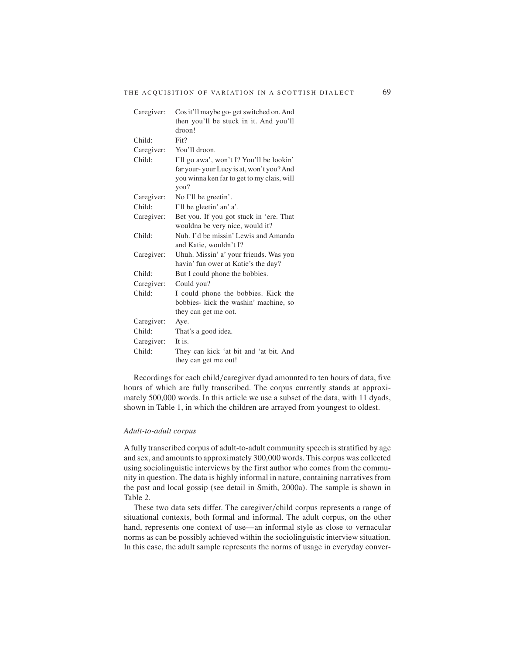| Caregiver: | Cos it'll maybe go-get switched on. And            |
|------------|----------------------------------------------------|
|            | then you'll be stuck in it. And you'll             |
|            | droon!                                             |
| Child:     | Fit?                                               |
| Caregiver: | You'll droon.                                      |
| Child:     | I'll go awa', won't I? You'll be lookin'           |
|            | far your-your Lucy is at, won't you? And           |
|            | you winna ken far to get to my clais, will<br>you? |
| Caregiver: | No I'll be greetin'.                               |
| Child:     | I'll be gleetin' an' a'.                           |
| Caregiver: | Bet you. If you got stuck in 'ere. That            |
|            | wouldna be very nice, would it?                    |
| Child:     | Nuh. I'd be missin' Lewis and Amanda               |
|            | and Katie, wouldn't I?                             |
| Caregiver: | Uhuh. Missin' a' your friends. Was you             |
|            | havin' fun ower at Katie's the day?                |
| Child:     | But I could phone the bobbies.                     |
| Caregiver: | Could you?                                         |
| Child:     | I could phone the bobbies. Kick the                |
|            | bobbies- kick the washin' machine, so              |
|            | they can get me oot.                               |
| Caregiver: | Aye.                                               |
| Child:     | That's a good idea.                                |
| Caregiver: | It is.                                             |
| Child:     | They can kick 'at bit and 'at bit. And             |
|            | they can get me out!                               |

Recordings for each child/caregiver dyad amounted to ten hours of data, five hours of which are fully transcribed. The corpus currently stands at approximately 500,000 words. In this article we use a subset of the data, with 11 dyads, shown in Table 1, in which the children are arrayed from youngest to oldest.

## *Adult-to-adult corpus*

A fully transcribed corpus of adult-to-adult community speech is stratified by age and sex, and amounts to approximately 300,000 words. This corpus was collected using sociolinguistic interviews by the first author who comes from the community in question. The data is highly informal in nature, containing narratives from the past and local gossip (see detail in Smith, 2000a). The sample is shown in Table 2.

These two data sets differ. The caregiver/child corpus represents a range of situational contexts, both formal and informal. The adult corpus, on the other hand, represents one context of use—an informal style as close to vernacular norms as can be possibly achieved within the sociolinguistic interview situation. In this case, the adult sample represents the norms of usage in everyday conver-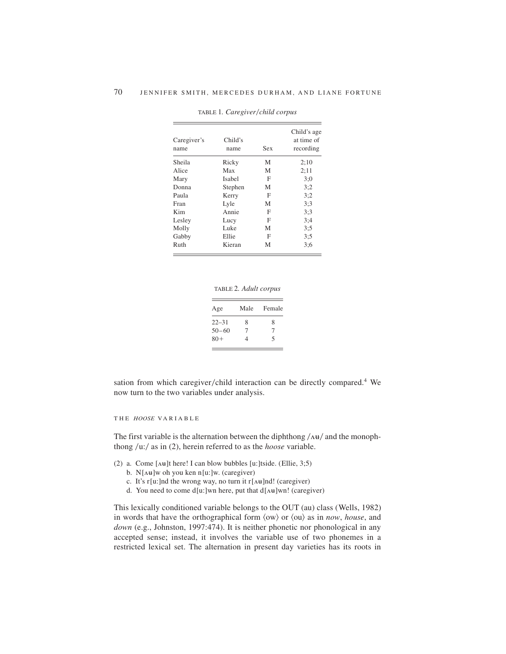| Caregiver's<br>name | Child's<br>name | Sex | Child's age<br>at time of<br>recording |
|---------------------|-----------------|-----|----------------------------------------|
| Sheila              | Ricky           | M   | 2:10                                   |
| Alice               | Max             | M   | 2:11                                   |
| Mary                | Isabel          | F   | 3:0                                    |
| Donna               | Stephen         | M   | 3:2                                    |
| Paula               | Kerry           | F   | 3:2                                    |
| Fran                | Lyle            | M   | 3:3                                    |
| Kim                 | Annie           | F   | 3:3                                    |
| Lesley              | Lucy            | F   | 3:4                                    |
| Molly               | Luke            | M   | 3:5                                    |
| Gabby               | Ellie           | F   | 3:5                                    |
| Ruth                | Kieran          | M   | 3:6                                    |

TABLE 1. Caregiver/child corpus

TABLE 2*. Adult corpus*

| Age       | Male   | Female   |
|-----------|--------|----------|
| $22 - 31$ | 8      | 8        |
| $50 - 60$ | $\tau$ | $\gamma$ |
| $80+$     | 4      | 5        |

sation from which caregiver/child interaction can be directly compared.<sup>4</sup> We now turn to the two variables under analysis.

THE *HOOSE* VAR I AB L E

The first variable is the alternation between the diphthong  $\Delta u/d$  and the monophthong  $/u$ :/ as in (2), herein referred to as the *hoose* variable.

- (2) a. Come  $[\text{Au}]$ t here! I can blow bubbles [u:]tside. (Ellie, 3;5)
	- b.  $N[\Delta\mathbf{u}]$ w oh you ken n[u:]w. (caregiver)
	- c. It's r[u:]nd the wrong way, no turn it r[ $\Delta \theta$ ]nd! (caregiver)
	- d. You need to come d[u:]wn here, put that  $d[*A*||*u*||*w*n!$  (caregiver)

This lexically conditioned variable belongs to the OUT (au) class (Wells, 1982) in words that have the orthographical form  $\langle$ ow $\rangle$  or  $\langle$ ou $\rangle$  as in *now*, *house*, and *down* (e.g., Johnston, 1997:474). It is neither phonetic nor phonological in any accepted sense; instead, it involves the variable use of two phonemes in a restricted lexical set. The alternation in present day varieties has its roots in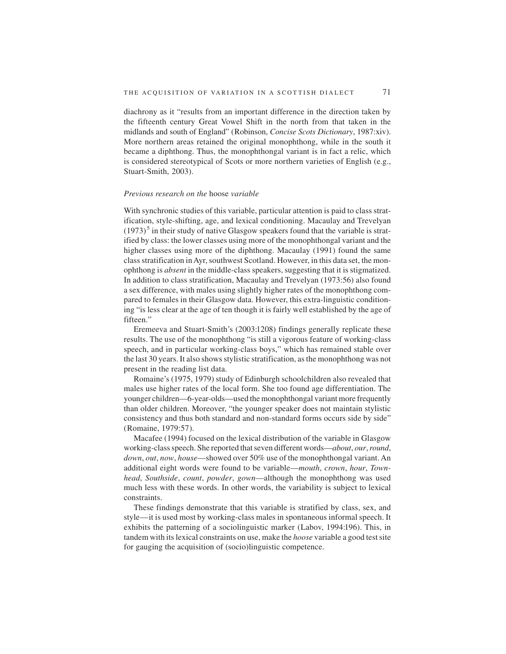diachrony as it "results from an important difference in the direction taken by the fifteenth century Great Vowel Shift in the north from that taken in the midlands and south of England" (Robinson, *Concise Scots Dictionary*, 1987:xiv). More northern areas retained the original monophthong, while in the south it became a diphthong. Thus, the monophthongal variant is in fact a relic, which is considered stereotypical of Scots or more northern varieties of English (e.g., Stuart-Smith, 2003).

#### *Previous research on the* hoose *variable*

With synchronic studies of this variable, particular attention is paid to class stratification, style-shifting, age, and lexical conditioning. Macaulay and Trevelyan  $(1973)^5$  in their study of native Glasgow speakers found that the variable is stratified by class: the lower classes using more of the monophthongal variant and the higher classes using more of the diphthong. Macaulay (1991) found the same class stratification in Ayr, southwest Scotland. However, in this data set, the monophthong is *absent* in the middle-class speakers, suggesting that it is stigmatized. In addition to class stratification, Macaulay and Trevelyan (1973:56) also found a sex difference, with males using slightly higher rates of the monophthong compared to females in their Glasgow data. However, this extra-linguistic conditioning "is less clear at the age of ten though it is fairly well established by the age of fifteen."

Eremeeva and Stuart-Smith's (2003:1208) findings generally replicate these results. The use of the monophthong "is still a vigorous feature of working-class speech, and in particular working-class boys," which has remained stable over the last 30 years. It also shows stylistic stratification, as the monophthong was not present in the reading list data.

Romaine's (1975, 1979) study of Edinburgh schoolchildren also revealed that males use higher rates of the local form. She too found age differentiation. The younger children—6-year-olds—used the monophthongal variant more frequently than older children. Moreover, "the younger speaker does not maintain stylistic consistency and thus both standard and non-standard forms occurs side by side" (Romaine, 1979:57).

Macafee (1994) focused on the lexical distribution of the variable in Glasgow working-class speech. She reported that seven different words—*about*, *our*,*round*, *down*, *out*, *now*, *house*—showed over 50% use of the monophthongal variant. An additional eight words were found to be variable—*mouth*, *crown*, *hour*, *Townhead*, *Southside*, *count*, *powder*, *gown*—although the monophthong was used much less with these words. In other words, the variability is subject to lexical constraints.

These findings demonstrate that this variable is stratified by class, sex, and style—it is used most by working-class males in spontaneous informal speech. It exhibits the patterning of a sociolinguistic marker (Labov, 1994:196). This, in tandem with its lexical constraints on use, make the *hoose* variable a good test site for gauging the acquisition of (socio)linguistic competence.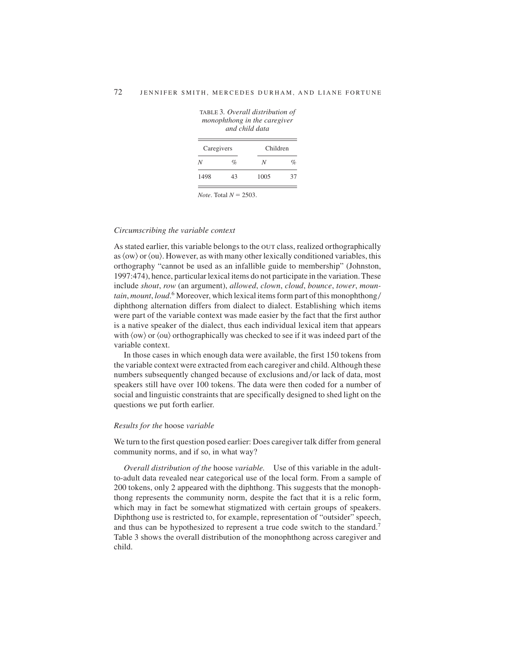| Caregivers |    | Children |      |
|------------|----|----------|------|
| N          | %  | N        | $\%$ |
| 1498       | 43 | 1005     | 37   |

TABLE 3*. Overall distribution of monophthong in the caregiver and child data*

 $Note. Total N = 2503.$ 

#### *Circumscribing the variable context*

As stated earlier, this variable belongs to the out class, realized orthographically as  $\langle$ ow $\rangle$  or  $\langle$ ou $\rangle$ . However, as with many other lexically conditioned variables, this orthography "cannot be used as an infallible guide to membership" (Johnston, 1997:474), hence, particular lexical items do not participate in the variation. These include *shout*, *row* (an argument), *allowed*, *clown*, *cloud*, *bounce*, *tower*, *mountain, mount, loud.*<sup>6</sup> Moreover, which lexical items form part of this monophthong/ diphthong alternation differs from dialect to dialect. Establishing which items were part of the variable context was made easier by the fact that the first author is a native speaker of the dialect, thus each individual lexical item that appears with  $\langle$ ow $\rangle$  or  $\langle$ ou $\rangle$  orthographically was checked to see if it was indeed part of the variable context.

In those cases in which enough data were available, the first 150 tokens from the variable context were extracted from each caregiver and child.Although these numbers subsequently changed because of exclusions and/or lack of data, most speakers still have over 100 tokens. The data were then coded for a number of social and linguistic constraints that are specifically designed to shed light on the questions we put forth earlier.

## *Results for the* hoose *variable*

We turn to the first question posed earlier: Does caregiver talk differ from general community norms, and if so, in what way?

*Overall distribution of the* hoose *variable.* Use of this variable in the adultto-adult data revealed near categorical use of the local form. From a sample of 200 tokens, only 2 appeared with the diphthong. This suggests that the monophthong represents the community norm, despite the fact that it is a relic form, which may in fact be somewhat stigmatized with certain groups of speakers. Diphthong use is restricted to, for example, representation of "outsider" speech, and thus can be hypothesized to represent a true code switch to the standard.<sup>7</sup> Table 3 shows the overall distribution of the monophthong across caregiver and child.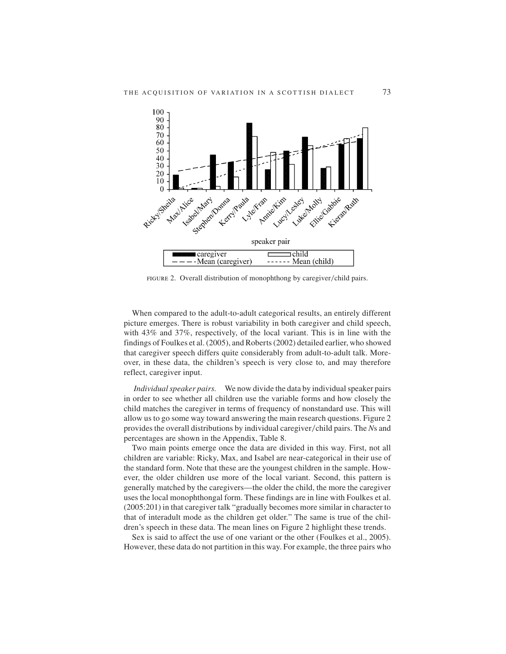

FIGURE 2. Overall distribution of monophthong by caregiver/child pairs.

When compared to the adult-to-adult categorical results, an entirely different picture emerges. There is robust variability in both caregiver and child speech, with 43% and 37%, respectively, of the local variant. This is in line with the findings of Foulkes et al. (2005), and Roberts (2002) detailed earlier, who showed that caregiver speech differs quite considerably from adult-to-adult talk. Moreover, in these data, the children's speech is very close to, and may therefore reflect, caregiver input.

*Individual speaker pairs.* We now divide the data by individual speaker pairs in order to see whether all children use the variable forms and how closely the child matches the caregiver in terms of frequency of nonstandard use. This will allow us to go some way toward answering the main research questions. Figure 2 provides the overall distributions by individual caregiver/child pairs. The *N*s and percentages are shown in the Appendix, Table 8.

Two main points emerge once the data are divided in this way. First, not all children are variable: Ricky, Max, and Isabel are near-categorical in their use of the standard form. Note that these are the youngest children in the sample. However, the older children use more of the local variant. Second, this pattern is generally matched by the caregivers—the older the child, the more the caregiver uses the local monophthongal form. These findings are in line with Foulkes et al. (2005:201) in that caregiver talk "gradually becomes more similar in character to that of interadult mode as the children get older." The same is true of the children's speech in these data. The mean lines on Figure 2 highlight these trends.

Sex is said to affect the use of one variant or the other (Foulkes et al., 2005). However, these data do not partition in this way. For example, the three pairs who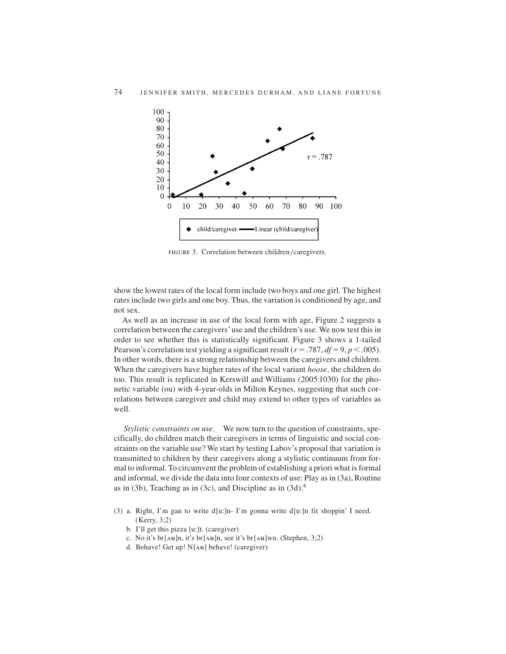

FIGURE 3. Correlation between children/caregivers.

show the lowest rates of the local form include two boys and one girl. The highest rates include two girls and one boy. Thus, the variation is conditioned by age, and not sex.

As well as an increase in use of the local form with age, Figure 2 suggests a correlation between the caregivers' use and the children's use. We now test this in order to see whether this is statistically significant. Figure 3 shows a 1-tailed Pearson's correlation test yielding a significant result ( $r = .787$ ,  $df = 9$ ,  $p < .005$ ). In other words, there is a strong relationship between the caregivers and children. When the caregivers have higher rates of the local variant *hoose*, the children do too. This result is replicated in Kerswill and Williams (2005:1030) for the phonetic variable (ou) with 4-year-olds in Milton Keynes, suggesting that such correlations between caregiver and child may extend to other types of variables as well.

*Stylistic constraints on use.* We now turn to the question of constraints, specifically, do children match their caregivers in terms of linguistic and social constraints on the variable use? We start by testing Labov's proposal that variation is transmitted to children by their caregivers along a stylistic continuum from formal to informal. To circumvent the problem of establishing a priori what is formal and informal, we divide the data into four contexts of use: Play as in (3a), Routine as in (3b), Teaching as in (3c), and Discipline as in  $(3d)$ .<sup>8</sup>

- (3) a. Right, I'm gan to write d[u:]n- I'm gonna write d[u:]n fit shoppin' I need. (Kerry, 3;2)
	- b. I'll get this pizza [u:]t. (caregiver)
	- c. No it's br  $[\Delta \mathbf{H}]n$ , it's br  $[\Delta \mathbf{H}]n$ , see it's br  $[\Delta \mathbf{H}]wn$ . (Stephen, 3;2)
	- d. Behave! Get up! N[ $\Lambda$ H] behave! (caregiver)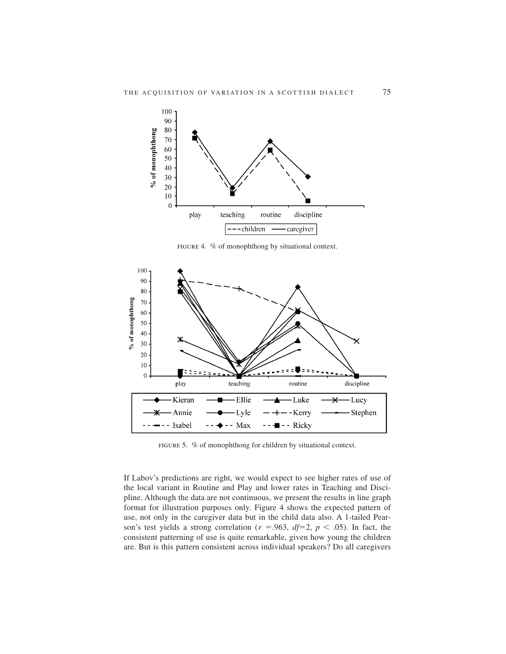

figure 4. % of monophthong by situational context.



figure 5. % of monophthong for children by situational context.

If Labov's predictions are right, we would expect to see higher rates of use of the local variant in Routine and Play and lower rates in Teaching and Discipline. Although the data are not continuous, we present the results in line graph format for illustration purposes only. Figure 4 shows the expected pattern of use, not only in the caregiver data but in the child data also. A 1-tailed Pearson's test yields a strong correlation ( $r = .963$ ,  $df=2$ ,  $p < .05$ ). In fact, the consistent patterning of use is quite remarkable, given how young the children are. But is this pattern consistent across individual speakers? Do all caregivers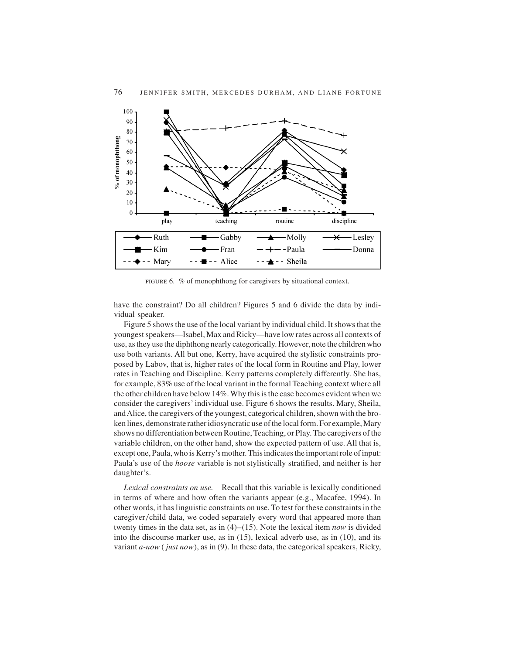

figure 6. % of monophthong for caregivers by situational context.

have the constraint? Do all children? Figures 5 and 6 divide the data by individual speaker.

Figure 5 shows the use of the local variant by individual child. It shows that the youngest speakers—Isabel, Max and Ricky—have low rates across all contexts of use, as they use the diphthong nearly categorically. However, note the children who use both variants. All but one, Kerry, have acquired the stylistic constraints proposed by Labov, that is, higher rates of the local form in Routine and Play, lower rates in Teaching and Discipline. Kerry patterns completely differently. She has, for example, 83% use of the local variant in the formal Teaching context where all the other children have below 14%.Why this is the case becomes evident when we consider the caregivers' individual use. Figure 6 shows the results. Mary, Sheila, andAlice, the caregivers of the youngest, categorical children, shown with the broken lines, demonstrate rather idiosyncratic use of the local form. For example, Mary shows no differentiation between Routine, Teaching, or Play. The caregivers of the variable children, on the other hand, show the expected pattern of use. All that is, except one, Paula, who is Kerry's mother. This indicates the important role of input: Paula's use of the *hoose* variable is not stylistically stratified, and neither is her daughter's.

*Lexical constraints on use.* Recall that this variable is lexically conditioned in terms of where and how often the variants appear (e.g., Macafee, 1994). In other words, it has linguistic constraints on use. To test for these constraints in the caregiver/child data, we coded separately every word that appeared more than twenty times in the data set, as in (4)–(15). Note the lexical item *now* is divided into the discourse marker use, as in (15), lexical adverb use, as in (10), and its variant *a-now* ( *just now*), as in (9). In these data, the categorical speakers, Ricky,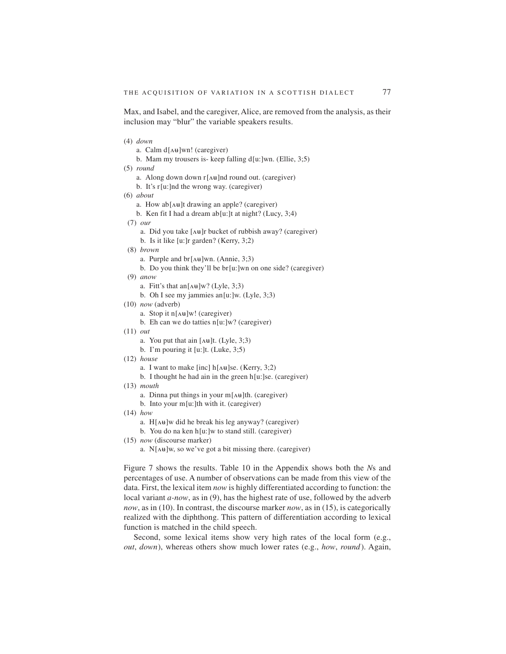Max, and Isabel, and the caregiver, Alice, are removed from the analysis, as their inclusion may "blur" the variable speakers results.

(4) *down* a. Calm  $d[$ A $\text{H}$ ]wn! (caregiver) b. Mam my trousers is- keep falling d[u:]wn. (Ellie, 3;5) (5) *round* a. Along down down  $r[\Delta\theta]$ nd round out. (caregiver) b. It's r [u:]nd the wrong way. (caregiver) (6) *about* a. How ab[ $\Delta H$ ]t drawing an apple? (caregiver) b. Ken fit I had a dream ab[u:]t at night? (Lucy,  $3;4$ ) (7) *our* a. Did you take  $[\lambda \mathbf{H}]r$  bucket of rubbish away? (caregiver) b. Is it like [u:]r garden? (Kerry, 3;2) (8) *brown* a. Purple and br $[\Delta \mathbf{H}]$ wn. (Annie, 3;3) b. Do you think they'll be br[u:]wn on one side? (caregiver) (9) *anow* a. Fitt's that an $[\Delta \mathbf{H}]$ w? (Lyle, 3;3) b. Oh I see my jammies an[u:]w. (Lyle,  $3:3$ ) (10) *now* (adverb) a. Stop it  $n[$ A $\text{H}$ ]w! (caregiver) b. Eh can we do tatties  $n[u:]w?$  (caregiver) (11) *out* a. You put that ain  $[x^{\mu}]t$ . (Lyle, 3;3) b. I'm pouring it [u:]t. (Luke, 3;5) (12) *house* a. I want to make [inc]  $h[\Lambda \mathbf{H}]$ se. (Kerry, 3;2) b. I thought he had ain in the green h[u:]se. (caregiver) (13) *mouth* a. Dinna put things in your  $m[\Lambda\uplus]$ th. (caregiver) b. Into your m[u:]th with it. (caregiver) (14) *how* a.  $H[\Lambda\mathbf{H}]$ w did he break his leg anyway? (caregiver) b. You do na ken h[u:]w to stand still. (caregiver) (15) *now* (discourse marker) a.  $N[\Delta\mathbf{H}]$ w, so we've got a bit missing there. (caregiver)

Figure 7 shows the results. Table 10 in the Appendix shows both the *N*s and percentages of use. A number of observations can be made from this view of the data. First, the lexical item *now* is highly differentiated according to function: the local variant *a-now*, as in (9), has the highest rate of use, followed by the adverb *now*, as in (10). In contrast, the discourse marker *now*, as in (15), is categorically realized with the diphthong. This pattern of differentiation according to lexical function is matched in the child speech.

Second, some lexical items show very high rates of the local form (e.g., *out*, *down*), whereas others show much lower rates (e.g., *how*, *round*). Again,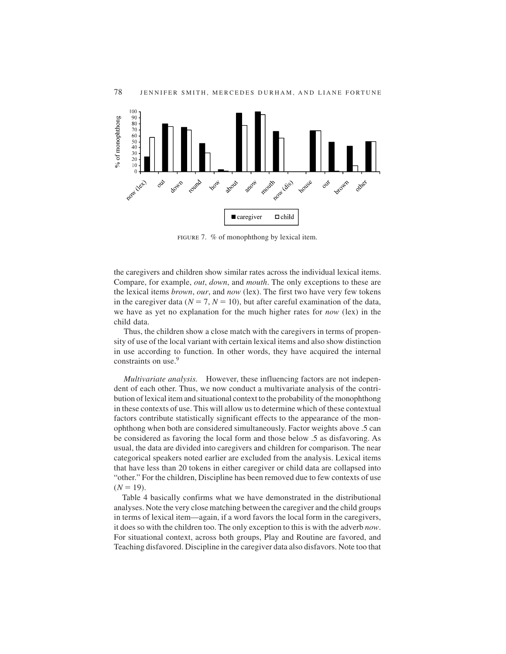

figure 7. % of monophthong by lexical item.

the caregivers and children show similar rates across the individual lexical items. Compare, for example, *out*, *down*, and *mouth*. The only exceptions to these are the lexical items *brown*, *our*, and *now* (lex). The first two have very few tokens in the caregiver data ( $N = 7$ ,  $N = 10$ ), but after careful examination of the data, we have as yet no explanation for the much higher rates for *now* (lex) in the child data.

Thus, the children show a close match with the caregivers in terms of propensity of use of the local variant with certain lexical items and also show distinction in use according to function. In other words, they have acquired the internal constraints on use.<sup>9</sup>

*Multivariate analysis.* However, these influencing factors are not independent of each other. Thus, we now conduct a multivariate analysis of the contribution of lexical item and situational context to the probability of the monophthong in these contexts of use. This will allow us to determine which of these contextual factors contribute statistically significant effects to the appearance of the monophthong when both are considered simultaneously. Factor weights above .5 can be considered as favoring the local form and those below .5 as disfavoring. As usual, the data are divided into caregivers and children for comparison. The near categorical speakers noted earlier are excluded from the analysis. Lexical items that have less than 20 tokens in either caregiver or child data are collapsed into "other." For the children, Discipline has been removed due to few contexts of use  $(N = 19)$ .

Table 4 basically confirms what we have demonstrated in the distributional analyses. Note the very close matching between the caregiver and the child groups in terms of lexical item—again, if a word favors the local form in the caregivers, it does so with the children too. The only exception to this is with the adverb *now*. For situational context, across both groups, Play and Routine are favored, and Teaching disfavored. Discipline in the caregiver data also disfavors. Note too that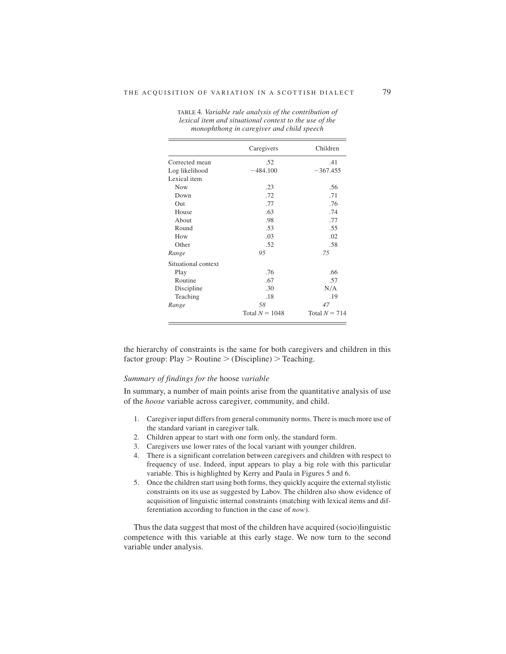|                     | Caregivers       | Children        |
|---------------------|------------------|-----------------|
| Corrected mean      | .52              | .41             |
| Log likelihood      | $-484.100$       | $-367.455$      |
| Lexical item        |                  |                 |
| <b>Now</b>          | .23              | .56             |
| Down                | .72              | .71             |
| Out                 | .77              | .76             |
| House               | .63              | .74             |
| About               | .98              | .77             |
| Round               | .53              | .55             |
| How                 | .03              | .02             |
| Other               | .52              | .58             |
| Range               | 95               | 75              |
| Situational context |                  |                 |
| Play                | .76              | .66             |
| Routine             | .67              | .57             |
| Discipline          | .30              | N/A             |
| Teaching            | .18              | .19             |
| Range               | 58               | 47              |
|                     | Total $N = 1048$ | Total $N = 714$ |

TABLE 4*. Variable rule analysis of the contribution of lexical item and situational context to the use of the monophthong in caregiver and child speech*

the hierarchy of constraints is the same for both caregivers and children in this factor group:  $Play > Routine > (Disciplina) > Teaching.$ 

## *Summary of findings for the* hoose *variable*

In summary, a number of main points arise from the quantitative analysis of use of the *hoose* variable across caregiver, community, and child.

- 1. Caregiver input differs from general community norms. There is much more use of the standard variant in caregiver talk.
- 2. Children appear to start with one form only, the standard form.
- 3. Caregivers use lower rates of the local variant with younger children.
- 4. There is a significant correlation between caregivers and children with respect to frequency of use. Indeed, input appears to play a big role with this particular variable. This is highlighted by Kerry and Paula in Figures 5 and 6.
- 5. Once the children start using both forms, they quickly acquire the external stylistic constraints on its use as suggested by Labov. The children also show evidence of acquisition of linguistic internal constraints (matching with lexical items and differentiation according to function in the case of *now*).

Thus the data suggest that most of the children have acquired (socio)linguistic competence with this variable at this early stage. We now turn to the second variable under analysis.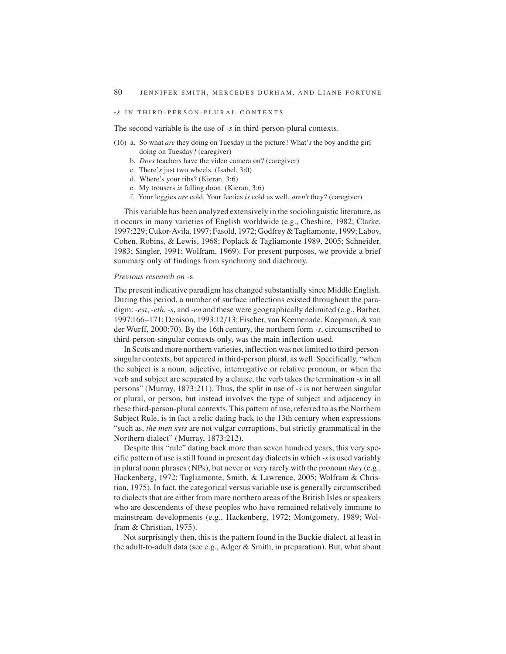## -*s* IN THIRD-PERSON-PLURAL CONTEXTS

The second variable is the use of *-s* in third-person-plural contexts.

- (16) a. So what *are* they doing on Tuesday in the picture? What'*s* the boy and the girl doing on Tuesday? (caregiver)
	- b. *Does* teachers have the video camera on? (caregiver)
	- c. There'*s* just two wheels. (Isabel, 3;0)
	- d. Where's your ribs? (Kieran, 3;6)
	- e. My trousers *is* falling doon. (Kieran, 3;6)
	- f. Your leggies *are* cold. Your feeties *is* cold as well, *aren't* they? (caregiver)

This variable has been analyzed extensively in the sociolinguistic literature, as it occurs in many varieties of English worldwide (e.g., Cheshire, 1982; Clarke, 1997:229; Cukor-Avila, 1997; Fasold, 1972; Godfrey & Tagliamonte, 1999; Labov, Cohen, Robins, & Lewis, 1968; Poplack & Tagliamonte 1989, 2005; Schneider, 1983; Singler, 1991; Wolfram, 1969). For present purposes, we provide a brief summary only of findings from synchrony and diachrony.

#### *Previous research on -*s

The present indicative paradigm has changed substantially since Middle English. During this period, a number of surface inflections existed throughout the paradigm: *-est*, *-eth*, *-s*, and *-en* and these were geographically delimited (e.g., Barber, 1997:166–171; Denison, 1993:12/13; Fischer, van Keemenade, Koopman, & van der Wurff, 2000:70). By the 16th century, the northern form *-s*, circumscribed to third-person-singular contexts only, was the main inflection used.

In Scots and more northern varieties, inflection was not limited to third-personsingular contexts, but appeared in third-person plural, as well. Specifically, "when the subject is a noun, adjective, interrogative or relative pronoun, or when the verb and subject are separated by a clause, the verb takes the termination *-s* in all persons" (Murray, 1873:211). Thus, the split in use of *-s* is not between singular or plural, or person, but instead involves the type of subject and adjacency in these third-person-plural contexts. This pattern of use, referred to as the Northern Subject Rule, is in fact a relic dating back to the 13th century when expressions "such as, *the men syts* are not vulgar corruptions, but strictly grammatical in the Northern dialect" (Murray, 1873:212).

Despite this "rule" dating back more than seven hundred years, this very specific pattern of use is still found in present day dialects in which *-s*is used variably in plural noun phrases (NPs), but never or very rarely with the pronoun *they* (e.g., Hackenberg, 1972; Tagliamonte, Smith, & Lawrence, 2005; Wolfram & Christian, 1975). In fact, the categorical versus variable use is generally circumscribed to dialects that are either from more northern areas of the British Isles or speakers who are descendents of these peoples who have remained relatively immune to mainstream developments (e.g., Hackenberg, 1972; Montgomery, 1989; Wolfram & Christian, 1975).

Not surprisingly then, this is the pattern found in the Buckie dialect, at least in the adult-to-adult data (see e.g., Adger & Smith, in preparation). But, what about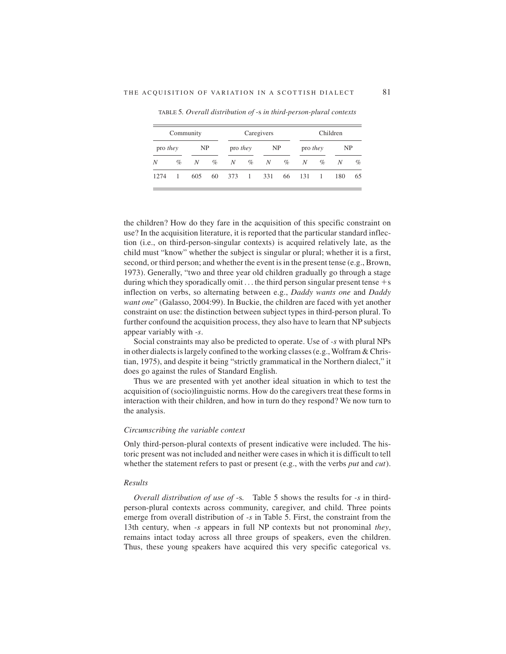|                 | Caregivers<br>Children<br>Community |     |      |                 |      |              |      |                 |                |     |      |
|-----------------|-------------------------------------|-----|------|-----------------|------|--------------|------|-----------------|----------------|-----|------|
| pro <i>they</i> |                                     | NP  |      | pro <i>they</i> |      | NP           |      | pro <i>they</i> |                | NP  |      |
| N               | $\%$                                | N   | $\%$ | N               | $\%$ | N            | $\%$ | N               | $\%$           | N   | $\%$ |
| 1274            | 1                                   | 605 | 60   | 373             |      | 1 331 66 131 |      |                 | $\overline{1}$ | 180 | 65   |

TABLE 5*. Overall distribution of* -s *in third-person-plural contexts*

the children? How do they fare in the acquisition of this specific constraint on use? In the acquisition literature, it is reported that the particular standard inflection (i.e., on third-person-singular contexts) is acquired relatively late, as the child must "know" whether the subject is singular or plural; whether it is a first, second, or third person; and whether the event is in the present tense (e.g., Brown, 1973). Generally, "two and three year old children gradually go through a stage during which they sporadically omit  $\dots$  the third person singular present tense  $+s$ inflection on verbs, so alternating between e.g., *Daddy wants one* and *Daddy want one*" (Galasso, 2004:99). In Buckie, the children are faced with yet another constraint on use: the distinction between subject types in third-person plural. To further confound the acquisition process, they also have to learn that NP subjects appear variably with *-s*.

Social constraints may also be predicted to operate. Use of *-s* with plural NPs in other dialects is largely confined to the working classes (e.g., Wolfram & Christian, 1975), and despite it being "strictly grammatical in the Northern dialect," it does go against the rules of Standard English.

Thus we are presented with yet another ideal situation in which to test the acquisition of (socio)linguistic norms. How do the caregivers treat these forms in interaction with their children, and how in turn do they respond? We now turn to the analysis.

## *Circumscribing the variable context*

Only third-person-plural contexts of present indicative were included. The historic present was not included and neither were cases in which it is difficult to tell whether the statement refers to past or present (e.g., with the verbs *put* and *cut*).

## *Results*

*Overall distribution of use of* -s*.* Table 5 shows the results for *-s* in thirdperson-plural contexts across community, caregiver, and child. Three points emerge from overall distribution of *-s* in Table 5. First, the constraint from the 13th century, when *-s* appears in full NP contexts but not pronominal *they*, remains intact today across all three groups of speakers, even the children. Thus, these young speakers have acquired this very specific categorical vs.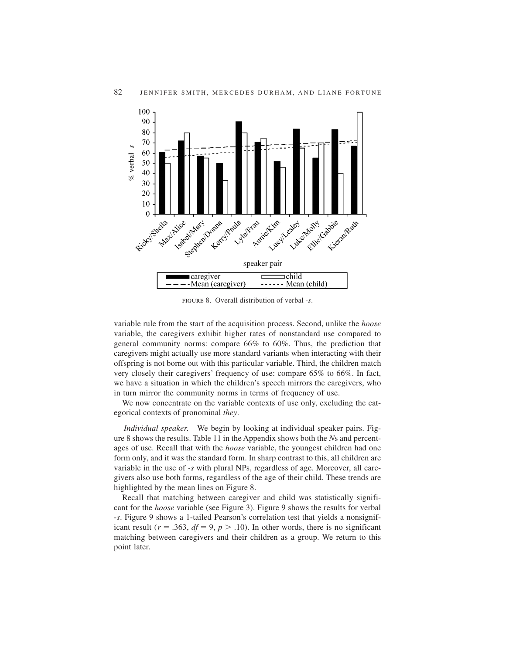

figure 8. Overall distribution of verbal -*s*.

variable rule from the start of the acquisition process. Second, unlike the *hoose* variable, the caregivers exhibit higher rates of nonstandard use compared to general community norms: compare 66% to 60%. Thus, the prediction that caregivers might actually use more standard variants when interacting with their offspring is not borne out with this particular variable. Third, the children match very closely their caregivers' frequency of use: compare 65% to 66%. In fact, we have a situation in which the children's speech mirrors the caregivers, who in turn mirror the community norms in terms of frequency of use.

We now concentrate on the variable contexts of use only, excluding the categorical contexts of pronominal *they*.

*Individual speaker.* We begin by looking at individual speaker pairs. Figure 8 shows the results. Table 11 in the Appendix shows both the *N*s and percentages of use. Recall that with the *hoose* variable, the youngest children had one form only, and it was the standard form. In sharp contrast to this, all children are variable in the use of *-s* with plural NPs, regardless of age. Moreover, all caregivers also use both forms, regardless of the age of their child. These trends are highlighted by the mean lines on Figure 8.

Recall that matching between caregiver and child was statistically significant for the *hoose* variable (see Figure 3). Figure 9 shows the results for verbal -*s*. Figure 9 shows a 1-tailed Pearson's correlation test that yields a nonsignificant result ( $r = .363$ ,  $df = 9$ ,  $p > .10$ ). In other words, there is no significant matching between caregivers and their children as a group. We return to this point later.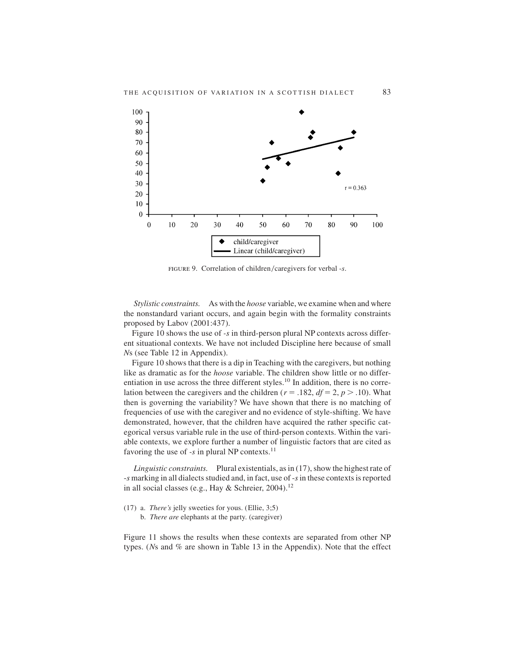

FIGURE 9. Correlation of children/caregivers for verbal -s.

*Stylistic constraints.* As with the *hoose* variable, we examine when and where the nonstandard variant occurs, and again begin with the formality constraints proposed by Labov (2001:437).

Figure 10 shows the use of *-s* in third-person plural NP contexts across different situational contexts. We have not included Discipline here because of small *N*s (see Table 12 in Appendix).

Figure 10 shows that there is a dip in Teaching with the caregivers, but nothing like as dramatic as for the *hoose* variable. The children show little or no differentiation in use across the three different styles.<sup>10</sup> In addition, there is no correlation between the caregivers and the children ( $r = .182$ ,  $df = 2$ ,  $p > .10$ ). What then is governing the variability? We have shown that there is no matching of frequencies of use with the caregiver and no evidence of style-shifting. We have demonstrated, however, that the children have acquired the rather specific categorical versus variable rule in the use of third-person contexts. Within the variable contexts, we explore further a number of linguistic factors that are cited as favoring the use of  $-s$  in plural NP contexts.<sup>11</sup>

*Linguistic constraints.* Plural existentials, as in (17), show the highest rate of -*s* marking in all dialects studied and, in fact, use of -*s*in these contexts is reported in all social classes (e.g., Hay & Schreier, 2004).<sup>12</sup>

(17) a. *There's* jelly sweeties for yous. (Ellie, 3;5)

b. *There are* elephants at the party. (caregiver)

Figure 11 shows the results when these contexts are separated from other NP types. (*N*s and % are shown in Table 13 in the Appendix). Note that the effect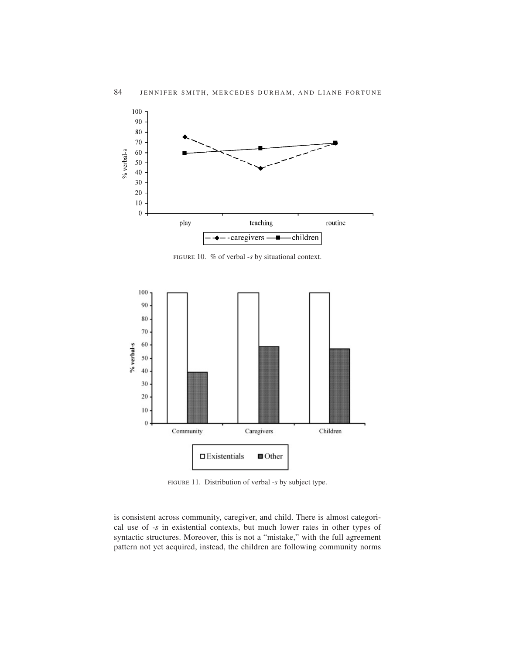

figure 10. % of verbal -*s* by situational context.



figure 11. Distribution of verbal -*s* by subject type.

is consistent across community, caregiver, and child. There is almost categorical use of -*s* in existential contexts, but much lower rates in other types of syntactic structures. Moreover, this is not a "mistake," with the full agreement pattern not yet acquired, instead, the children are following community norms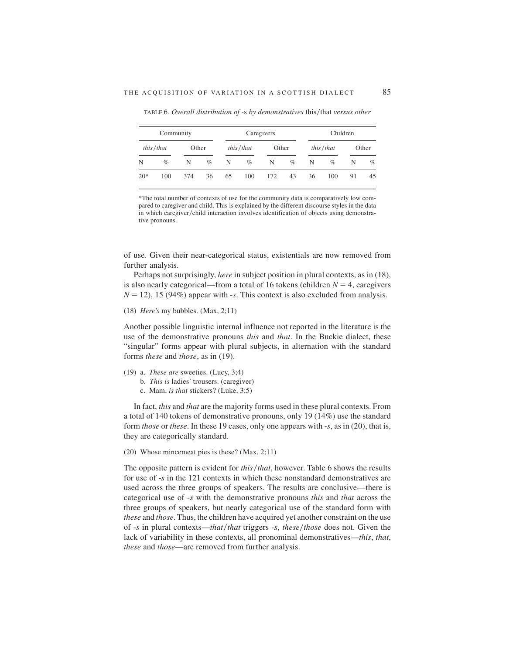|       | Community |       |      | Caregivers |           |       |      | Children |           |    |       |
|-------|-----------|-------|------|------------|-----------|-------|------|----------|-----------|----|-------|
|       | this/that | Other |      |            | this/that | Other |      |          | this/that |    | Other |
| N     | $\%$      | N     | $\%$ | N          | $\%$      | N     | $\%$ | N        | $\%$      | N  | $\%$  |
| $20*$ | 100       | 374   | 36   | 65         | 100       | 172   | 43   | 36       | 100       | 91 | 45    |

TABLE 6. Overall distribution of -s by demonstratives this/that versus other

\*The total number of contexts of use for the community data is comparatively low compared to caregiver and child. This is explained by the different discourse styles in the data in which caregiver/child interaction involves identification of objects using demonstrative pronouns.

of use. Given their near-categorical status, existentials are now removed from further analysis.

Perhaps not surprisingly, *here* in subject position in plural contexts, as in (18), is also nearly categorical—from a total of 16 tokens (children  $N = 4$ , caregivers  $N = 12$ ), 15 (94%) appear with  $-s$ . This context is also excluded from analysis.

(18) *Here's* my bubbles. (Max, 2;11)

Another possible linguistic internal influence not reported in the literature is the use of the demonstrative pronouns *this* and *that*. In the Buckie dialect, these "singular" forms appear with plural subjects, in alternation with the standard forms *these* and *those*, as in (19).

- (19) a. *These are* sweeties. (Lucy, 3;4)
	- b. *This is* ladies' trousers. (caregiver)
	- c. Mam, *is that* stickers? (Luke, 3;5)

In fact, *this* and *that* are the majority forms used in these plural contexts. From a total of 140 tokens of demonstrative pronouns, only 19 (14%) use the standard form *those* or *these*. In these 19 cases, only one appears with -*s*, as in (20), that is, they are categorically standard.

(20) Whose mincemeat pies is these? (Max, 2;11)

The opposite pattern is evident for *this/that*, however. Table 6 shows the results for use of -*s* in the 121 contexts in which these nonstandard demonstratives are used across the three groups of speakers. The results are conclusive—there is categorical use of -*s* with the demonstrative pronouns *this* and *that* across the three groups of speakers, but nearly categorical use of the standard form with *these* and *those*. Thus, the children have acquired yet another constraint on the use of  $-s$  in plural contexts—*that*/*that* triggers  $-s$ , *these*/*those* does not. Given the lack of variability in these contexts, all pronominal demonstratives—*this*, *that*, *these* and *those*—are removed from further analysis.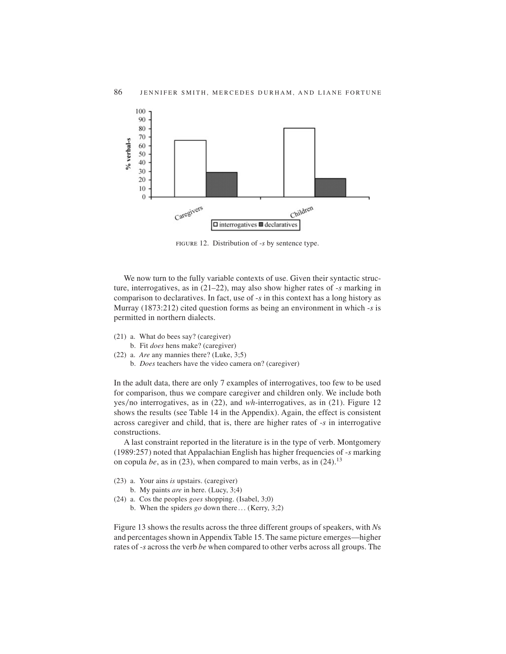

figure 12. Distribution of -*s* by sentence type.

We now turn to the fully variable contexts of use. Given their syntactic structure, interrogatives, as in (21–22), may also show higher rates of -*s* marking in comparison to declaratives. In fact, use of -*s* in this context has a long history as Murray (1873:212) cited question forms as being an environment in which -*s* is permitted in northern dialects.

- (21) a. What do bees say? (caregiver)
- b. Fit *does* hens make? (caregiver)
- (22) a. *Are* any mannies there? (Luke, 3;5) b. *Does* teachers have the video camera on? (caregiver)

In the adult data, there are only 7 examples of interrogatives, too few to be used for comparison, thus we compare caregiver and children only. We include both yes/no interrogatives, as in  $(22)$ , and *wh*-interrogatives, as in  $(21)$ . Figure 12 shows the results (see Table 14 in the Appendix). Again, the effect is consistent across caregiver and child, that is, there are higher rates of -*s* in interrogative constructions.

A last constraint reported in the literature is in the type of verb. Montgomery (1989:257) noted that Appalachian English has higher frequencies of -*s* marking on copula *be*, as in (23), when compared to main verbs, as in (24).<sup>13</sup>

- (23) a. Your ains *is* upstairs. (caregiver)
	- b. My paints *are* in here. (Lucy, 3;4)
- (24) a. Cos the peoples *goes* shopping. (Isabel, 3;0)
	- b. When the spiders *go* down there... (Kerry, 3;2)

Figure 13 shows the results across the three different groups of speakers, with *N*s and percentages shown in Appendix Table 15. The same picture emerges—higher rates of -*s* across the verb *be* when compared to other verbs across all groups. The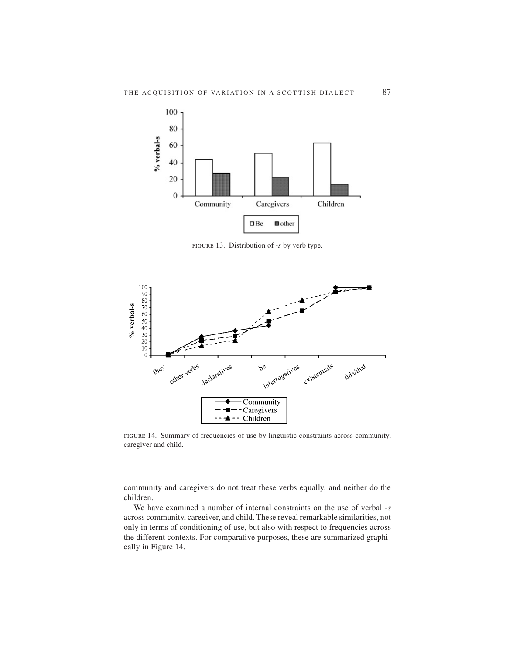

figure 13. Distribution of -*s* by verb type.



figure 14. Summary of frequencies of use by linguistic constraints across community, caregiver and child.

community and caregivers do not treat these verbs equally, and neither do the children.

We have examined a number of internal constraints on the use of verbal -*s* across community, caregiver, and child. These reveal remarkable similarities, not only in terms of conditioning of use, but also with respect to frequencies across the different contexts. For comparative purposes, these are summarized graphically in Figure 14.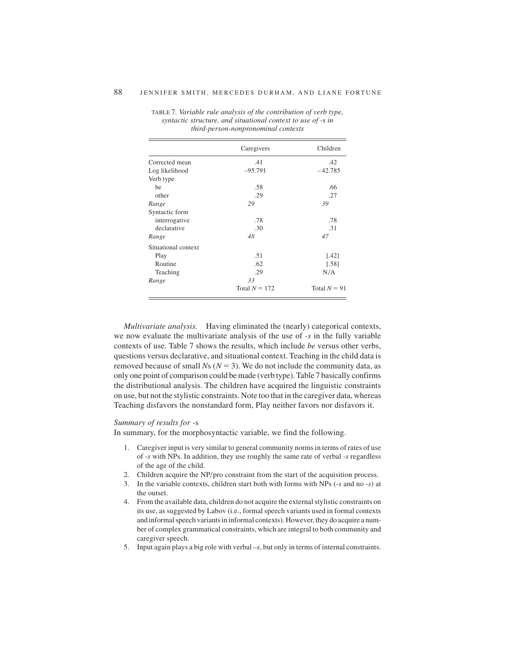|                     | Caregivers      | Children       |
|---------------------|-----------------|----------------|
| Corrected mean      | .41             | .42            |
| Log likelihood      | $-95.791$       | $-42.785$      |
| Verb type           |                 |                |
| be                  | .58             | .66            |
| other               | .29             | .27            |
| Range               | 29              | 39             |
| Syntactic form      |                 |                |
| interrogative       | .78             | .78            |
| declarative         | .30             | .31            |
| Range               | 48              | 47             |
| Situational context |                 |                |
| Play                | .51             | $[.42]$        |
| Routine             | .62             | [.58]          |
| Teaching            | .29             | N/A            |
| Range               | 33              |                |
|                     | Total $N = 172$ | Total $N = 91$ |

TABLE 7*. Variable rule analysis of the contribution of verb type, syntactic structure, and situational context to use of -*s *in third-person-nonpronominal contexts*

*Multivariate analysis.* Having eliminated the (nearly) categorical contexts, we now evaluate the multivariate analysis of the use of *-s* in the fully variable contexts of use. Table 7 shows the results, which include *be* versus other verbs, questions versus declarative, and situational context. Teaching in the child data is removed because of small  $Ns$  ( $N = 3$ ). We do not include the community data, as only one point of comparison could be made (verb type). Table 7 basically confirms the distributional analysis. The children have acquired the linguistic constraints on use, but not the stylistic constraints. Note too that in the caregiver data, whereas Teaching disfavors the nonstandard form, Play neither favors nor disfavors it.

#### *Summary of results for -*s

In summary, for the morphosyntactic variable, we find the following.

- 1. Caregiver input is very similar to general community norms in terms of rates of use of -*s* with NPs. In addition, they use roughly the same rate of verbal *-s* regardless of the age of the child.
- 2. Children acquire the NP/pro constraint from the start of the acquisition process.
- 3. In the variable contexts, children start both with forms with NPs (-*s* and no -*s*) at the outset.
- 4. From the available data, children do not acquire the external stylistic constraints on its use, as suggested by Labov (i.e., formal speech variants used in formal contexts and informal speech variants in informal contexts). However, they do acquire a number of complex grammatical constraints, which are integral to both community and caregiver speech.
- 5. Input again plays a big role with verbal –*s*, but only in terms of internal constraints.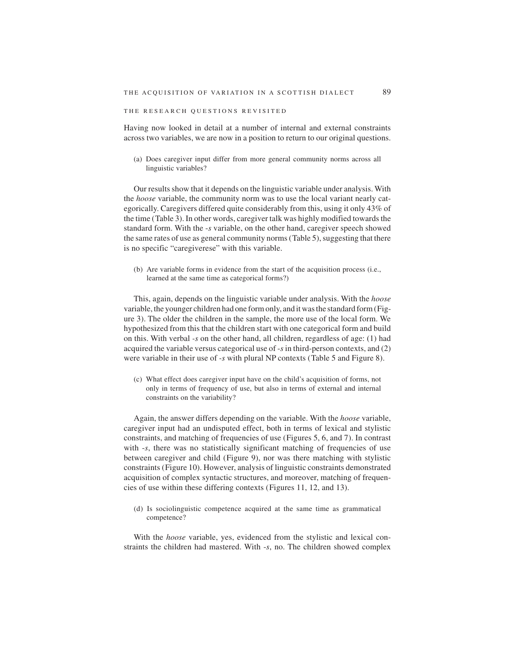## THE RESEARCH QUESTIONS REVISITED

Having now looked in detail at a number of internal and external constraints across two variables, we are now in a position to return to our original questions.

(a) Does caregiver input differ from more general community norms across all linguistic variables?

Our results show that it depends on the linguistic variable under analysis. With the *hoose* variable, the community norm was to use the local variant nearly categorically. Caregivers differed quite considerably from this, using it only 43% of the time (Table 3). In other words, caregiver talk was highly modified towards the standard form. With the -*s* variable, on the other hand, caregiver speech showed the same rates of use as general community norms (Table 5), suggesting that there is no specific "caregiverese" with this variable.

(b) Are variable forms in evidence from the start of the acquisition process (i.e., learned at the same time as categorical forms?)

This, again, depends on the linguistic variable under analysis. With the *hoose* variable, the younger children had one form only, and it was the standard form (Figure 3). The older the children in the sample, the more use of the local form. We hypothesized from this that the children start with one categorical form and build on this. With verbal *-s* on the other hand, all children, regardless of age: (1) had acquired the variable versus categorical use of -*s* in third-person contexts, and (2) were variable in their use of *-s* with plural NP contexts (Table 5 and Figure 8).

(c) What effect does caregiver input have on the child's acquisition of forms, not only in terms of frequency of use, but also in terms of external and internal constraints on the variability?

Again, the answer differs depending on the variable. With the *hoose* variable, caregiver input had an undisputed effect, both in terms of lexical and stylistic constraints, and matching of frequencies of use (Figures 5, 6, and 7). In contrast with  $-s$ , there was no statistically significant matching of frequencies of use between caregiver and child (Figure 9), nor was there matching with stylistic constraints (Figure 10). However, analysis of linguistic constraints demonstrated acquisition of complex syntactic structures, and moreover, matching of frequencies of use within these differing contexts (Figures 11, 12, and 13).

(d) Is sociolinguistic competence acquired at the same time as grammatical competence?

With the *hoose* variable, yes, evidenced from the stylistic and lexical constraints the children had mastered. With -*s*, no. The children showed complex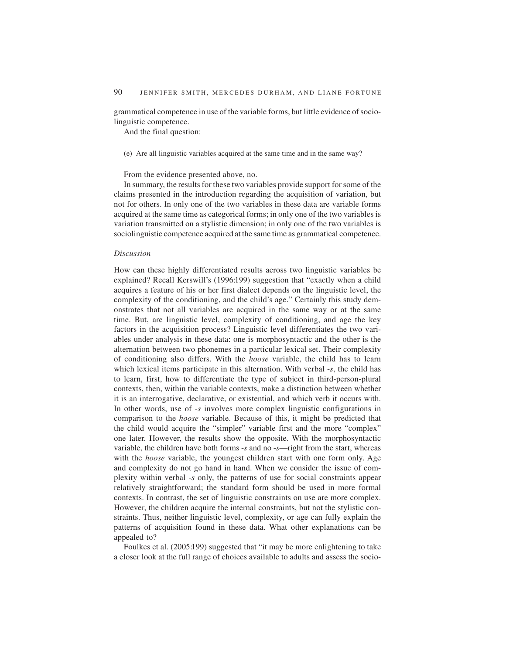grammatical competence in use of the variable forms, but little evidence of sociolinguistic competence.

And the final question:

(e) Are all linguistic variables acquired at the same time and in the same way?

From the evidence presented above, no.

In summary, the results for these two variables provide support for some of the claims presented in the introduction regarding the acquisition of variation, but not for others. In only one of the two variables in these data are variable forms acquired at the same time as categorical forms; in only one of the two variables is variation transmitted on a stylistic dimension; in only one of the two variables is sociolinguistic competence acquired at the same time as grammatical competence.

## *Discussion*

How can these highly differentiated results across two linguistic variables be explained? Recall Kerswill's (1996:199) suggestion that "exactly when a child acquires a feature of his or her first dialect depends on the linguistic level, the complexity of the conditioning, and the child's age." Certainly this study demonstrates that not all variables are acquired in the same way or at the same time. But, are linguistic level, complexity of conditioning, and age the key factors in the acquisition process? Linguistic level differentiates the two variables under analysis in these data: one is morphosyntactic and the other is the alternation between two phonemes in a particular lexical set. Their complexity of conditioning also differs. With the *hoose* variable, the child has to learn which lexical items participate in this alternation. With verbal -*s*, the child has to learn, first, how to differentiate the type of subject in third-person-plural contexts, then, within the variable contexts, make a distinction between whether it is an interrogative, declarative, or existential, and which verb it occurs with. In other words, use of -*s* involves more complex linguistic configurations in comparison to the *hoose* variable. Because of this, it might be predicted that the child would acquire the "simpler" variable first and the more "complex" one later. However, the results show the opposite. With the morphosyntactic variable, the children have both forms -*s* and no -*s*—right from the start, whereas with the *hoose* variable, the youngest children start with one form only. Age and complexity do not go hand in hand. When we consider the issue of complexity within verbal -*s* only, the patterns of use for social constraints appear relatively straightforward; the standard form should be used in more formal contexts. In contrast, the set of linguistic constraints on use are more complex. However, the children acquire the internal constraints, but not the stylistic constraints. Thus, neither linguistic level, complexity, or age can fully explain the patterns of acquisition found in these data. What other explanations can be appealed to?

Foulkes et al. (2005:199) suggested that "it may be more enlightening to take a closer look at the full range of choices available to adults and assess the socio-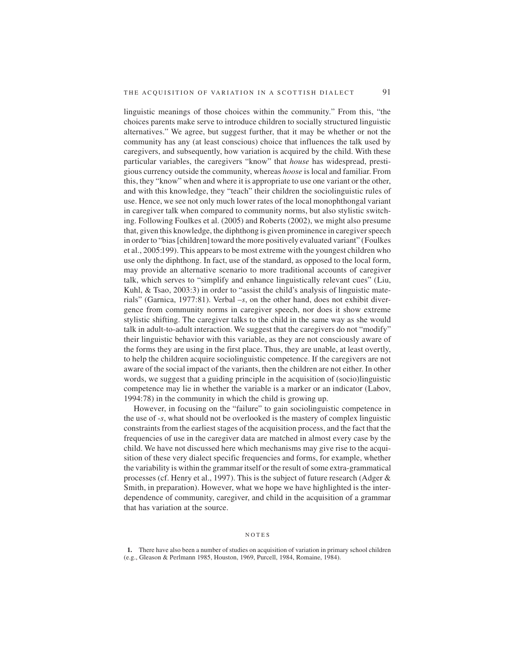linguistic meanings of those choices within the community." From this, "the choices parents make serve to introduce children to socially structured linguistic alternatives." We agree, but suggest further, that it may be whether or not the community has any (at least conscious) choice that influences the talk used by caregivers, and subsequently, how variation is acquired by the child. With these particular variables, the caregivers "know" that *house* has widespread, prestigious currency outside the community, whereas *hoose* is local and familiar. From this, they "know" when and where it is appropriate to use one variant or the other, and with this knowledge, they "teach" their children the sociolinguistic rules of use. Hence, we see not only much lower rates of the local monophthongal variant in caregiver talk when compared to community norms, but also stylistic switching. Following Foulkes et al. (2005) and Roberts (2002), we might also presume that, given this knowledge, the diphthong is given prominence in caregiver speech in order to "bias [children] toward the more positively evaluated variant" (Foulkes et al., 2005:199). This appears to be most extreme with the youngest children who use only the diphthong. In fact, use of the standard, as opposed to the local form, may provide an alternative scenario to more traditional accounts of caregiver talk, which serves to "simplify and enhance linguistically relevant cues" (Liu, Kuhl, & Tsao, 2003:3) in order to "assist the child's analysis of linguistic materials" (Garnica, 1977:81). Verbal –*s*, on the other hand, does not exhibit divergence from community norms in caregiver speech, nor does it show extreme stylistic shifting. The caregiver talks to the child in the same way as she would talk in adult-to-adult interaction. We suggest that the caregivers do not "modify" their linguistic behavior with this variable, as they are not consciously aware of

the forms they are using in the first place. Thus, they are unable, at least overtly, to help the children acquire sociolinguistic competence. If the caregivers are not aware of the social impact of the variants, then the children are not either. In other words, we suggest that a guiding principle in the acquisition of (socio)linguistic competence may lie in whether the variable is a marker or an indicator (Labov, 1994:78) in the community in which the child is growing up.

However, in focusing on the "failure" to gain sociolinguistic competence in the use of -*s*, what should not be overlooked is the mastery of complex linguistic constraints from the earliest stages of the acquisition process, and the fact that the frequencies of use in the caregiver data are matched in almost every case by the child. We have not discussed here which mechanisms may give rise to the acquisition of these very dialect specific frequencies and forms, for example, whether the variability is within the grammar itself or the result of some extra-grammatical processes (cf. Henry et al., 1997). This is the subject of future research (Adger & Smith, in preparation). However, what we hope we have highlighted is the interdependence of community, caregiver, and child in the acquisition of a grammar that has variation at the source.

#### NOTES

**<sup>1.</sup>** There have also been a number of studies on acquisition of variation in primary school children (e.g., Gleason & Perlmann 1985, Houston, 1969, Purcell, 1984, Romaine, 1984).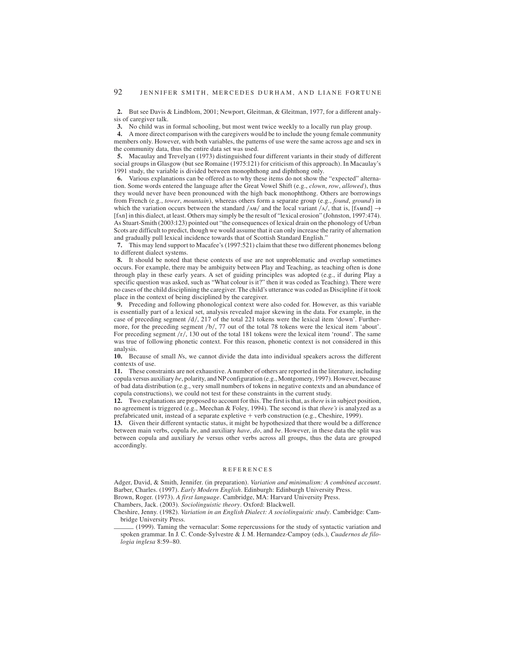**2.** But see Davis & Lindblom, 2001; Newport, Gleitman, & Gleitman, 1977, for a different analysis of caregiver talk.

**3.** No child was in formal schooling, but most went twice weekly to a locally run play group.

**4.** A more direct comparison with the caregivers would be to include the young female community members only. However, with both variables, the patterns of use were the same across age and sex in the community data, thus the entire data set was used.

**5.** Macaulay and Trevelyan (1973) distinguished four different variants in their study of different social groups in Glasgow (but see Romaine (1975:121) for criticism of this approach). In Macaulay's 1991 study, the variable is divided between monophthong and diphthong only.

**6.** Various explanations can be offered as to why these items do not show the "expected" alternation. Some words entered the language after the Great Vowel Shift (e.g., *clown*, *row*, *allowed*), thus they would never have been pronounced with the high back monophthong. Others are borrowings from French (e.g., *tower*, *mountain*), whereas others form a separate group (e.g., *found*, *ground*) in which the variation occurs between the standard  $/\Delta u/$  and the local variant  $/\Delta t/$ , that is, [f $\Delta u$ md]  $\rightarrow$ [f $\pi$ n] in this dialect, at least. Others may simply be the result of "lexical erosion" (Johnston, 1997:474). As Stuart-Smith (2003:123) pointed out "the consequences of lexical drain on the phonology of Urban Scots are difficult to predict, though we would assume that it can only increase the rarity of alternation and gradually pull lexical incidence towards that of Scottish Standard English."

**7.** This may lend support to Macafee's (1997:521) claim that these two different phonemes belong to different dialect systems.

**8.** It should be noted that these contexts of use are not unproblematic and overlap sometimes occurs. For example, there may be ambiguity between Play and Teaching, as teaching often is done through play in these early years. A set of guiding principles was adopted (e.g., if during Play a specific question was asked, such as "What colour is it?" then it was coded as Teaching). There were no cases of the child disciplining the caregiver. The child's utterance was coded as Discipline if it took place in the context of being disciplined by the caregiver.

**9.** Preceding and following phonological context were also coded for. However, as this variable is essentially part of a lexical set, analysis revealed major skewing in the data. For example, in the case of preceding segment  $d$ , 217 of the total 221 tokens were the lexical item 'down'. Furthermore, for the preceding segment  $/b/$ , 77 out of the total 78 tokens were the lexical item 'about'. For preceding segment  $/r/$ , 130 out of the total 181 tokens were the lexical item 'round'. The same was true of following phonetic context. For this reason, phonetic context is not considered in this analysis.

**10.** Because of small *N*s, we cannot divide the data into individual speakers across the different contexts of use.

**11.** These constraints are not exhaustive. A number of others are reported in the literature, including copula versus auxiliary *be*, polarity, and NP configuration (e.g., Montgomery, 1997). However, because of bad data distribution (e.g., very small numbers of tokens in negative contexts and an abundance of copula constructions), we could not test for these constraints in the current study.

**12.** Two explanations are proposed to account for this. The first is that, as*there* is in subject position, no agreement is triggered (e.g., Meechan & Foley, 1994). The second is that *there's* is analyzed as a prefabricated unit, instead of a separate expletive + verb construction (e.g., Cheshire, 1999).

**13.** Given their different syntactic status, it might be hypothesized that there would be a difference between main verbs, copula *be*, and auxiliary *have*, *do*, and *be*. However, in these data the split was between copula and auxiliary *be* versus other verbs across all groups, thus the data are grouped accordingly.

#### REFERENCES

Adger, David, & Smith, Jennifer. (in preparation). *Variation and minimalism: A combined account*. Barber, Charles. (1997). *Early Modern English*. Edinburgh: Edinburgh University Press.

Brown, Roger. (1973). *A first language*. Cambridge, MA: Harvard University Press.

Chambers, Jack. (2003). *Sociolinguistic theory*. Oxford: Blackwell.

- Cheshire, Jenny. (1982). *Variation in an English Dialect: A sociolinguistic study*. Cambridge: Cambridge University Press. Chambers, Jack. (1993). *Sociolinguistic theory*. Oxford: Blackwell.<br>Chambers, Jack. (2003). *Sociolinguistic theory*. Oxford: Blackwell.<br>Cheshire, Jenny. (1982). *Variation in an English Dialect: A sociolinguistic study*
- spoken grammar. In J. C. Conde-Sylvestre & J. M. Hernandez-Campoy (eds.), *Cuadernos de filologia inglesa* 8:59–80.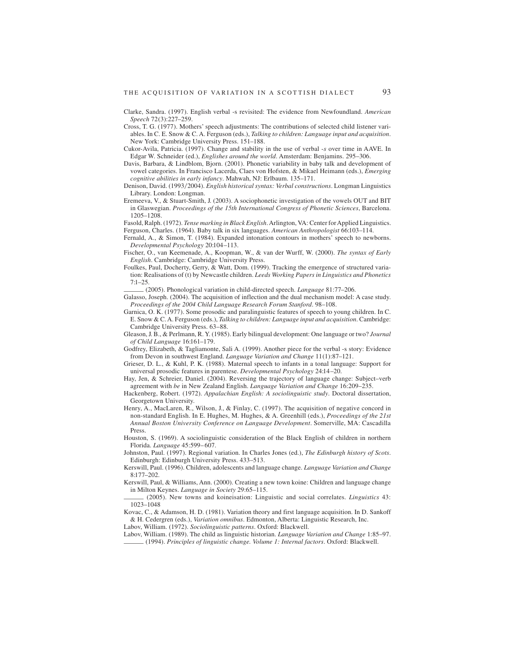- Clarke, Sandra. (1997). English verbal -s revisited: The evidence from Newfoundland. *American Speech* 72(3):227–259.
- Cross, T. G. (1977). Mothers' speech adjustments: The contributions of selected child listener variables. In C. E. Snow & C. A. Ferguson (eds.), *Talking to children: Language input and acquisition*. New York: Cambridge University Press. 151–188.
- Cukor-Avila, Patricia. (1997). Change and stability in the use of verbal -*s* over time in AAVE. In Edgar W. Schneider (ed.), *Englishes around the world*. Amsterdam: Benjamins. 295–306.
- Davis, Barbara, & Lindblom, Bjorn. (2001). Phonetic variability in baby talk and development of vowel categories. In Francisco Lacerda, Claes von Hofsten, & Mikael Heimann (eds.), *Emerging cognitive abilities in early infancy*. Mahwah, NJ: Erlbaum. 135–171.
- Denison, David. (1993/2004). *English historical syntax: Verbal constructions*. Longman Linguistics Library. London: Longman.
- Eremeeva, V., & Stuart-Smith, J. (2003). A sociophonetic investigation of the vowels OUT and BIT in Glaswegian. *Proceedings of the 15th International Congress of Phonetic Sciences*, Barcelona. 1205–1208.
- Fasold, Ralph. (1972). *Tense marking in Black English*. Arlington, VA: Center for Applied Linguistics. Ferguson, Charles. (1964). Baby talk in six languages. *American Anthropologist* 66:103–114.
- Fernald, A., & Simon, T. (1984). Expanded intonation contours in mothers' speech to newborns. *Developmental Psychology* 20:104–113.
- Fischer, O., van Keemenade, A., Koopman, W., & van der Wurff, W. (2000). *The syntax of Early English*. Cambridge: Cambridge University Press.
- Foulkes, Paul, Docherty, Gerry, & Watt, Dom. (1999). Tracking the emergence of structured varia-<br>
foulkes, Paul, Docherty, Gerry, & Watt, Dom. (1999). Tracking *Papers in Linguistics and Phonetics*<br>
7:1–25.<br>
(2005). Phonol tion: Realisations of (t) by Newcastle children. *Leeds Working Papers in Linguistics and Phonetics*

- Galasso, Joseph. (2004). The acquisition of inflection and the dual mechanism model: A case study. *Proceedings of the 2004 Child Language Research Forum Stanford*. 98–108.
- Garnica, O. K. (1977). Some prosodic and paralinguistic features of speech to young children. In C. E. Snow & C. A. Ferguson (eds.), *Talking to children: Language input and acquisition*. Cambridge: Cambridge University Press. 63–88.
- Gleason, J. B., & Perlmann, R. Y. (1985). Early bilingual development: One language or two? *Journal of Child Language* 16:161–179.
- Godfrey, Elizabeth, & Tagliamonte, Sali A. (1999). Another piece for the verbal -s story: Evidence from Devon in southwest England. *Language Variation and Change* 11(1):87–121.
- Grieser, D. L., & Kuhl, P. K. (1988). Maternal speech to infants in a tonal language: Support for universal prosodic features in parentese. *Developmental Psychology* 24:14–20.
- Hay, Jen, & Schreier, Daniel. (2004). Reversing the trajectory of language change: Subject–verb agreement with *be* in New Zealand English. *Language Variation and Change* 16:209–235.
- Hackenberg, Robert. (1972). *Appalachian English: A sociolinguistic study*. Doctoral dissertation, Georgetown University.
- Henry, A., MacLaren, R., Wilson, J., & Finlay, C. (1997). The acquisition of negative concord in non-standard English. In E. Hughes, M. Hughes, & A. Greenhill (eds.), *Proceedings of the 21st Annual Boston University Conference on Language Development*. Somerville, MA: Cascadilla Press.
- Houston, S. (1969). A sociolinguistic consideration of the Black English of children in northern Florida. *Language* 45:599– 607.
- Johnston, Paul. (1997). Regional variation. In Charles Jones (ed.), *The Edinburgh history of Scots*. Edinburgh: Edinburgh University Press. 433–513.
- Kerswill, Paul. (1996). Children, adolescents and language change. *Language Variation and Change* 8:177–202.
- Kerswill, Paul, & Williams, Ann. (2000). Creating a new town koine: Children and language change in Milton Keynes. *Language in Society* 29:65–115.
- in Milton Keynes. *Language in Society* 29:65–115. \_(2005). New towns and koineisation: Linguistic and social correlates. *Linguistics* 43: 1023–1048
- Kovac, C., & Adamson, H. D. (1981). Variation theory and first language acquisition. In D. Sankoff & H. Cedergren (eds.), *Variation omnibus*. Edmonton, Alberta: Linguistic Research, Inc.
- Labov, William. (1972). *Sociolinguistic patterns*. Oxford: Blackwell.
- Labov, William. (1989). The child as linguistic historian. *Language Variation and Change* 1:85–97. \_(1994). *Principles of linguistic change. Volume 1: Internal factors*. Oxford: Blackwell.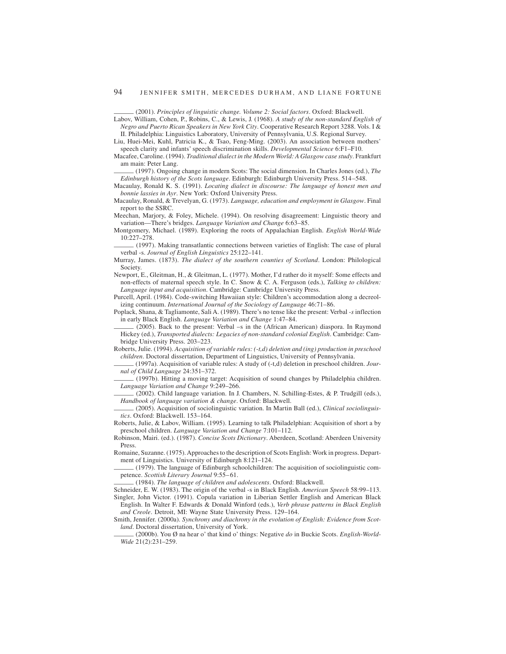- Labov, William, Cohen, P., Robins, C., & Lewis, J. (1968). *A study of the non-standard English of Negro and Puerto Rican Speakers in New York City*. Cooperative Research Report 3288. Vols. I & II. Philadelphia: Linguistics Laboratory, University of Pennsylvania, U.S. Regional Survey.
- Liu, Huei-Mei, Kuhl, Patricia K., & Tsao, Feng-Ming. (2003). An association between mothers' speech clarity and infants' speech discrimination skills. *Developmental Science* 6:F1–F10.
- Macafee, Caroline. (1994). *Traditional dialect in the Modern World: A Glasgow case study*. Frankfurt am main: Peter Lang. **am main:** Peter Lang. Cool. The social dimension scales are speech clarity and infants' speech discrimination skills. *Developmental Science* 6:F1–F10.<br>Macafee, Caroline. (1994). *Traditional dialect*
- *Edinburgh history of the Scots language*. Edinburgh: Edinburgh University Press. 514–548.
- Macaulay, Ronald K. S. (1991). *Locating dialect in discourse: The language of honest men and bonnie lassies in Ayr*. New York: Oxford University Press.
- Macaulay, Ronald, & Trevelyan, G. (1973). *Language, education and employment in Glasgow*. Final report to the SSRC.
- Meechan, Marjory, & Foley, Michele. (1994). On resolving disagreement: Linguistic theory and variation—There's bridges. *Language Variation and Change* 6:63–85.
- Montgomery, Michael. (1989). Exploring the roots of Appalachian English. *English World-Wide* vaccinari, warjory, at 10:07, whence: (1994). On testiving disagreement. Eniglishe theory and<br>variation—There's bridges. *Language Variation and Change* 6:63–85.<br>Montgomery, Michael. (1989). Exploring the roots of Appalach
- verbal -s. *Journal of English Linguistics* 25:122–141.
- Murray, James. (1873). *The dialect of the southern counties of Scotland*. London: Philological Society.
- Newport, E., Gleitman, H., & Gleitman, L. (1977). Mother, I'd rather do it myself: Some effects and non-effects of maternal speech style. In C. Snow & C. A. Ferguson (eds.), *Talking to children: Language input and acquisition*. Cambridge: Cambridge University Press.
- Purcell, April. (1984). Code-switching Hawaiian style: Children's accommodation along a decreolizing continuum. *International Journal of the Sociology of Language* 46:71–86.
- Poplack, Shana, & Tagliamonte, Sali A. (1989). There's no tense like the present: Verbal *-s* inflection incentig Colombia English. *Language Inward of the Sociology of Language* 46:71–86.<br>
Poplack, Shana, & Tagliamonte, Sali A. (1989). There's no tense like the present: Verbal -s inflection<br>
in early Black English. *Language*
- Hickey (ed.), *Transported dialects: Legacies of non-standard colonial English*. Cambridge: Cambridge University Press. 203–223.
- Roberts, Julie. (1994). *Acquisition of variable rules: (-t,d) deletion and (ing) production in preschool children*. Doctoral dissertation, Department of Linguistics, University of Pennsylvania.<br>
Roberts, Julie. (1994). *Acquisition of variable rules: (-t,d) deletion and (ing) production in preschool*<br> *children*. Doctoral di
- *nal of Child Language* 24:351–372. children. Doctoral dissertation, Department of Linguistics, University of Pennsylvania.<br>
(1997a). Acquisition of variable rules: A study of (-t,d) deletion in preschool children. Journal of Child Language 24:351–372.<br>
(199
- *Language Variation and Change 9:249–266.*<br> *Language Variation and Change 9:249–266.*<br> *Language Variation and Change 9:249–266.*<br>
(2002). Child language variation. In J. Chambers, N. Schilling-Estes, & P. Trudgill (eds.)
- *Hanguage Variation and Change* 9:249–266.<br>
(2002). Child language variation. In J. Chambers, N. Schilling-Estes, & P. Trudgill (eds.),<br> *Handbook of language variation & change*. Oxford: Blackwell.<br>
(2005). Acquisition of
- *tics*. Oxford: Blackwell. 153–164.
- Roberts, Julie, & Labov, William. (1995). Learning to talk Philadelphian: Acquisition of short a by preschool children. *Language Variation and Change* 7:101–112.
- Robinson, Mairi. (ed.). (1987). *Concise Scots Dictionary*. Aberdeen, Scotland: Aberdeen University Press.
- Romaine, Suzanne. (1975). Approaches to the description of Scots English: Work in progress. Department of Linguistics. University of Edinburgh 8:121–124.<br>
Press.<br>
Romaine, Suzanne. (1975). Approaches to the description of Scots English: Work in progress. Depart-<br>
ment of Linguistics. University of Edinburgh 8:121–124.<br>
- ment of Linguistics. University of Edinburgh 8:121–124.<br>
(1979). The language of Edinburgh schoolchildren: The acquisition of sociolinguistic com-<br>
petence. *Scottish Literary Journal* 9:55–61.<br>
(1984). The language of chi
- 
- Schneider, E. W. (1983). The origin of the verbal -s in Black English. *American Speech* 58:99–113.
- Singler, John Victor. (1991). Copula variation in Liberian Settler English and American Black English. In Walter F. Edwards & Donald Winford (eds.), *Verb phrase patterns in Black English and Creole*. Detroit, MI: Wayne State University Press. 129–164.
- Smith, Jennifer. (2000a). *Synchrony and diachrony in the evolution of English: Evidence from Scotland Creole.* Detroit, MI: Wayne State University Press. 129–164.<br> *and Creole.* Detroit, MI: Wayne State University Press. 129–164.<br>
Smith, Jennifer. (2000a). *Synchrony and diachrony in the evolution of English: Evidenc* 
	- *Wide* 21(2):231–259.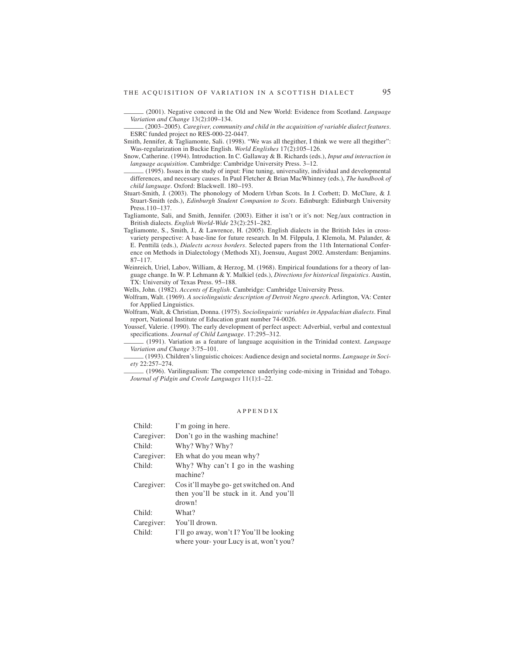THE ACQUISITION OF VARIATION IN A SCOTTISH DIALECT 95<br>(2001). Negative concord in the Old and New World: Evidence from Scotland. *Language*<br>*Variation and Change* 13(2):109–134. *Variation and Change* 13(2):109–134. *Variation and Change* 13(2):109–134. *Variation and Change* 13(2):109–134. *Caregiver, community and child in the acquisition of variable dialect features.* ESRC funded project no RES

- ESRC funded project no RES-000-22-0447.
- Smith, Jennifer, & Tagliamonte, Sali. (1998). "We was all thegither, I think we were all thegither": Was-regularization in Buckie English. *World Englishes* 17(2):105–126.
- Snow, Catherine. (1994). Introduction. In C. Gallaway & B. Richards (eds.), *Input and interaction in language acquisition* in Buckie English. *World Englishes* 17(2):105–126.<br> **Show, Catherine.** (1994). Introduction. In C. Gallaway & B. Richards (eds.), *Input and interaction* in<br> *language acquisition*. Cambridge: Cambr
- differences, and necessary causes. In Paul Fletcher & Brian MacWhinney (eds.), *The handbook of child language*. Oxford: Blackwell. 180–193.
- Stuart-Smith, J. (2003). The phonology of Modern Urban Scots. In J. Corbett; D. McClure, & J. Stuart-Smith (eds.), *Edinburgh Student Companion to Scots*. Edinburgh: Edinburgh University Press.110–137.
- Tagliamonte, Sali, and Smith, Jennifer. (2003). Either it isn't or it's not: Neg/aux contraction in British dialects. *English World-Wide* 23(2):251–282.
- Tagliamonte, S., Smith, J., & Lawrence, H. (2005). English dialects in the British Isles in crossvariety perspective: A base-line for future research. In M. Filppula, J. Klemola, M. Palander, & E. Penttilä (eds.), *Dialects across borders*. Selected papers from the 11th International Conference on Methods in Dialectology (Methods XI), Joensuu, August 2002. Amsterdam: Benjamins. 87–117.
- Weinreich, Uriel, Labov, William, & Herzog, M. (1968). Empirical foundations for a theory of language change. In W. P. Lehmann & Y. Malkiel (eds.), *Directions for historical linguistics*. Austin, TX: University of Texas Press. 95–188.

Wells, John. (1982). *Accents of English*. Cambridge: Cambridge University Press.

Wolfram, Walt. (1969). *A sociolinguistic description of Detroit Negro speech*. Arlington, VA: Center for Applied Linguistics.

Wolfram, Walt, & Christian, Donna. (1975). *Sociolinguistic variables in Appalachian dialects*. Final report, National Institute of Education grant number 74-0026.

Youssef, Valerie. (1990). The early development of perfect aspect: Adverbial, verbal and contextual From Articular Specifications. *Journal Institute of Education grant number 14-0026.*<br> *Journal of Child Language.* 17:295–312.<br>
<u>Specifications. *Journal of Child Language.* 17:295–312.<br>
(1991). Variation as a feature of </u>

*Variation and of Child Language.* 17:295–312.<br>
(1991). Variation and Changea acquisition in the Trinidad context. *Language*<br> *Variation and Change* 3:75–101.<br>
(1993). Children's linguistic choices: Audience design and so

*Variation and Change 3:75–101.*<br> *ety* 22:257–274.<br>
(1993). Children's linguistic choices: Audience design and societal norms. *Language in Soci-*<br> *ety* 22:257–274.<br>
(1996). Varilingualism: The competence underlying code *Journal of Pidgin and Creole Languages* 11(1):1–22.

#### APPENDIX

| Child:     | I'm going in here.                                                                          |
|------------|---------------------------------------------------------------------------------------------|
| Caregiver: | Don't go in the washing machine!                                                            |
| Child:     | Why? Why? Why?                                                                              |
| Caregiver: | Eh what do you mean why?                                                                    |
| Child:     | Why? Why can't I go in the washing<br>machine?                                              |
| Caregiver: | Cos it'll maybe go-get switched on. And<br>then you'll be stuck in it. And you'll<br>drown! |
| Child:     | What?                                                                                       |
| Caregiver: | You'll drown.                                                                               |
| Child:     | I'll go away, won't I? You'll be looking                                                    |
|            | where your-your Lucy is at, won't you?                                                      |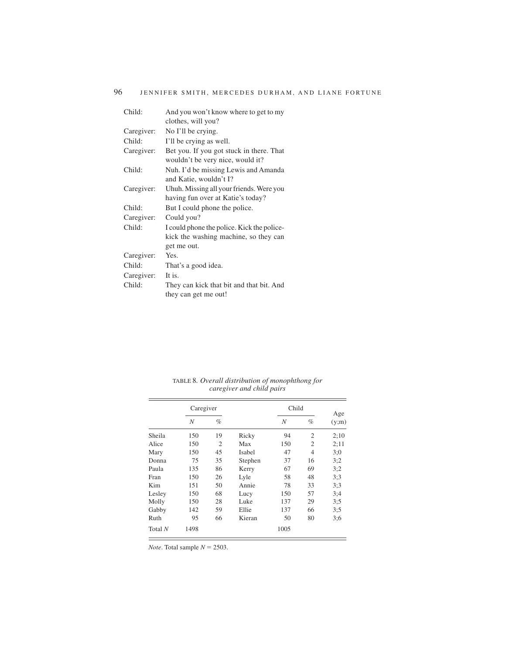| Child:     | And you won't know where to get to my                          |
|------------|----------------------------------------------------------------|
|            | clothes, will you?                                             |
| Caregiver: | No I'll be crying.                                             |
| Child:     | I'll be crying as well.                                        |
| Caregiver: | Bet you. If you got stuck in there. That                       |
|            | wouldn't be very nice, would it?                               |
| Child:     | Nuh. I'd be missing Lewis and Amanda<br>and Katie, wouldn't I? |
| Caregiver: | Uhuh. Missing all your friends. Were you                       |
|            | having fun over at Katie's today?                              |
| Child:     | But I could phone the police.                                  |
|            |                                                                |
| Caregiver: | Could you?                                                     |
| Child:     | I could phone the police. Kick the police-                     |
|            | kick the washing machine, so they can                          |
|            | get me out.                                                    |
| Caregiver: | Yes.                                                           |
| Child:     | That's a good idea.                                            |
| Caregiver: | It is.                                                         |
| Child:     | They can kick that bit and that bit. And                       |

|         | Caregiver |                |         | Child |                | Age   |  |
|---------|-----------|----------------|---------|-------|----------------|-------|--|
|         | N         | $\%$           |         | N     | $\%$           | (y;m) |  |
| Sheila  | 150       | 19             | Ricky   | 94    | $\overline{2}$ | 2:10  |  |
| Alice   | 150       | $\overline{c}$ | Max     | 150   | $\overline{2}$ | 2:11  |  |
| Mary    | 150       | 45             | Isabel  | 47    | $\overline{4}$ | 3:0   |  |
| Donna   | 75        | 35             | Stephen | 37    | 16             | 3:2   |  |
| Paula   | 135       | 86             | Kerry   | 67    | 69             | 3:2   |  |
| Fran    | 150       | 26             | Lyle    | 58    | 48             | 3:3   |  |
| Kim     | 151       | 50             | Annie   | 78    | 33             | 3:3   |  |
| Lesley  | 150       | 68             | Lucy    | 150   | 57             | 3:4   |  |
| Molly   | 150       | 28             | Luke    | 137   | 29             | 3:5   |  |
| Gabby   | 142       | 59             | Ellie   | 137   | 66             | 3:5   |  |
| Ruth    | 95        | 66             | Kieran  | 50    | 80             | 3:6   |  |
| Total N | 1498      |                |         | 1005  |                |       |  |

TABLE 8*. Overall distribution of monophthong for caregiver and child pairs*

*Note*. Total sample  $N = 2503$ .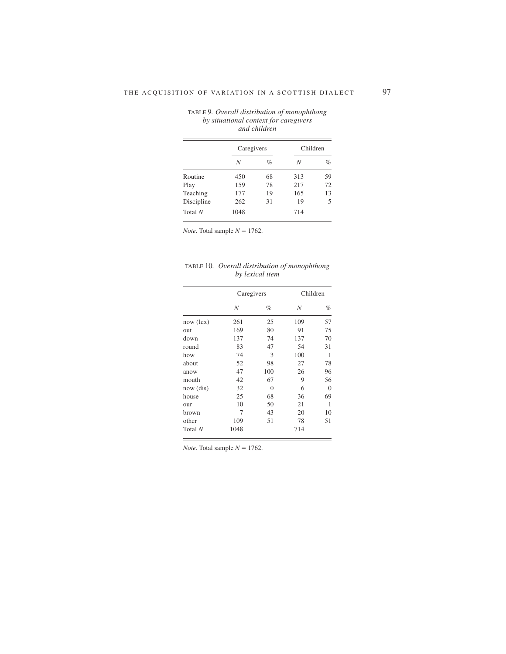|            | Caregivers |      | Children |      |  |
|------------|------------|------|----------|------|--|
|            | Ν          | $\%$ | N        | $\%$ |  |
| Routine    | 450        | 68   | 313      | 59   |  |
| Play       | 159        |      | 217      | 72   |  |
| Teaching   | 177        | 19   | 165      | 13   |  |
| Discipline | 262        | 31   | 19       | 5    |  |
| Total $N$  | 1048       |      | 714      |      |  |

TABLE 9*. Overall distribution of monophthong by situational context for caregivers and children*

*Note*. Total sample  $N = 1762$ .

TABLE 10*. Overall distribution of monophthong by lexical item*

|             | Caregivers |          | Children |          |  |
|-------------|------------|----------|----------|----------|--|
|             | N          | $\%$     | N        | $\%$     |  |
| $now$ (lex) | 261        | 25       | 109      | 57       |  |
| out         | 169        | 80       | 91       | 75       |  |
| down        | 137        | 74       | 137      | 70       |  |
| round       | 83         | 47       | 54       | 31       |  |
| how         | 74         | 3        | 100      | 1        |  |
| about       | 52         | 98       | 27       | 78       |  |
| anow        | 47         | 100      | 26       | 96       |  |
| mouth       | 42         | 67       | 9        | 56       |  |
| now (dis)   | 32         | $\theta$ | 6        | $\theta$ |  |
| house       | 25         | 68       | 36       | 69       |  |
| our         | 10         | 50       | 21       | 1        |  |
| brown       | 7          | 43       | 20       | 10       |  |
| other       | 109        | 51       | 78       | 51       |  |
| Total N     | 1048       |          | 714      |          |  |

*Note*. Total sample  $N = 1762$ .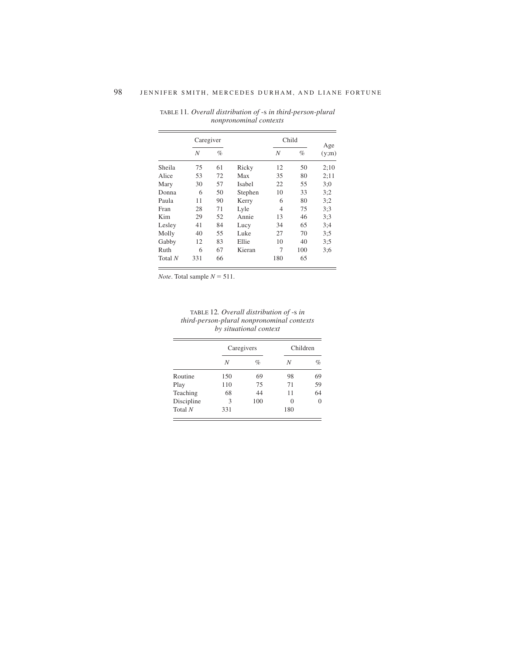|         | Caregiver |      |         |     | Child |              |
|---------|-----------|------|---------|-----|-------|--------------|
|         | N         | $\%$ |         | N   | $\%$  | Age<br>(y;m) |
| Sheila  | 75        | 61   | Ricky   | 12  | 50    | 2:10         |
| Alice   | 53        | 72   | Max     | 35  | 80    | 2:11         |
| Mary    | 30        | 57   | Isabel  | 22  | 55    | 3:0          |
| Donna   | 6         | 50   | Stephen | 10  | 33    | 3:2          |
| Paula   | 11        | 90   | Kerry   | 6   | 80    | 3:2          |
| Fran    | 28        | 71   | Lyle    | 4   | 75    | 3:3          |
| Kim     | 29        | 52   | Annie   | 13  | 46    | 3:3          |
| Lesley  | 41        | 84   | Lucy    | 34  | 65    | 3:4          |
| Molly   | 40        | 55   | Luke    | 27  | 70    | 3:5          |
| Gabby   | 12        | 83   | Ellie   | 10  | 40    | 3:5          |
| Ruth    | 6         | 67   | Kieran  | 7   | 100   | 3:6          |
| Total N | 331       | 66   |         | 180 | 65    |              |

TABLE 11*. Overall distribution of* -s *in third-person-plural nonpronominal contexts*

*Note*. Total sample  $N = 511$ .

| TABLE 12. Overall distribution of -s in    |
|--------------------------------------------|
| third-person-plural nonpronominal contexts |
| by situational context                     |

|            | Caregivers |      | Children |                |  |
|------------|------------|------|----------|----------------|--|
|            | N          | $\%$ | N        | %              |  |
| Routine    | 150        | 69   | 98       | 69             |  |
| Play       | 110        | 75   | 71       | 59             |  |
| Teaching   | 68         | 44   | 11       | 64             |  |
| Discipline | 3          | 100  | 0        | $\overline{0}$ |  |
| Total $N$  | 331        |      | 180      |                |  |